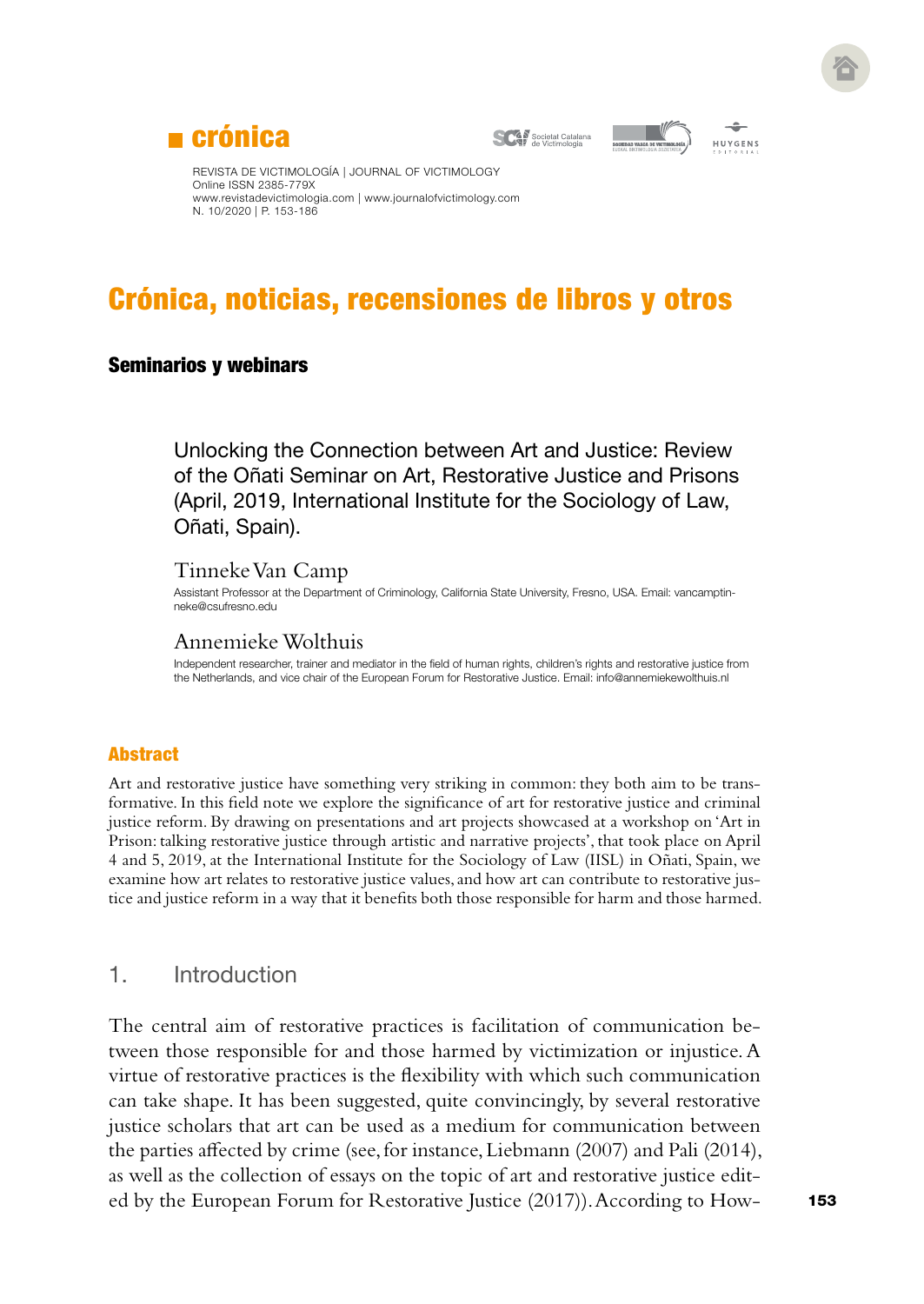

**SCAP** Societat Catalana





REVISTA DE VICTIMOLOGÍA | JOURNAL OF VICTIMOLOGY Online ISSN 2385-779X [www.revistadevictimologia.com](http://www.revistadevictimologia.com) | [www.journalofvictimology.com](http://www.journalofvictimology.com) N. 10/2020 | P. 153-186

# Crónica, noticias, recensiones de libros y otros

#### Seminarios y webinars

Unlocking the Connection between Art and Justice: Review of the Oñati Seminar on Art, Restorative Justice and Prisons (April, 2019, International Institute for the Sociology of Law, Oñati, Spain).

#### Tinneke Van Camp

Assistant Professor at the Department of Criminology, California State University, Fresno, USA. Email: [vancamptin](mailto:vancamptinneke@csufresno.edu)[neke@csufresno.edu](mailto:vancamptinneke@csufresno.edu)

## Annemieke Wolthuis

Independent researcher, trainer and mediator in the field of human rights, children's rights and restorative justice from the Netherlands, and vice chair of the European Forum for Restorative Justice. Email: [info@annemiekewolthuis.nl](mailto:info@annemiekewolthuis.nl)

#### **Abstract**

Art and restorative justice have something very striking in common: they both aim to be transformative. In this field note we explore the significance of art for restorative justice and criminal justice reform. By drawing on presentations and art projects showcased at a workshop on 'Art in Prison: talking restorative justice through artistic and narrative projects', that took place on April 4 and 5, 2019, at the International Institute for the Sociology of Law (IISL) in Oñati, Spain, we examine how art relates to restorative justice values, and how art can contribute to restorative justice and justice reform in a way that it benefits both those responsible for harm and those harmed.

#### 1. Introduction

The central aim of restorative practices is facilitation of communication between those responsible for and those harmed by victimization or injustice. A virtue of restorative practices is the flexibility with which such communication can take shape. It has been suggested, quite convincingly, by several restorative justice scholars that art can be used as a medium for communication between the parties affected by crime (see, for instance, Liebmann (2007) and Pali (2014), as well as the collection of essays on the topic of art and restorative justice edited by the European Forum for Restorative Justice (2017)). According to How-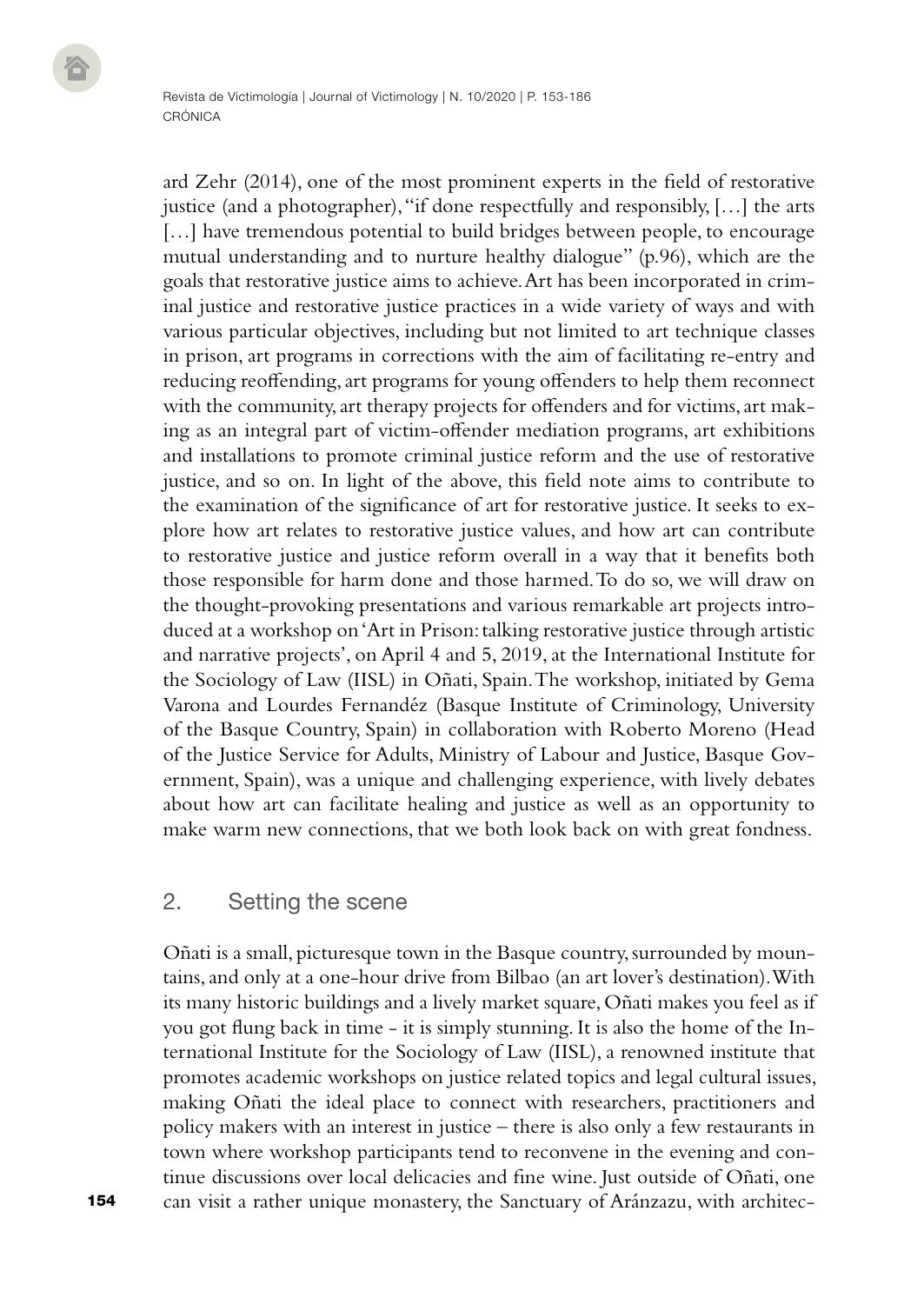ard Zehr (2014), one of the most prominent experts in the field of restorative justice (and a photographer), "if done respectfully and responsibly, […] the arts [...] have tremendous potential to build bridges between people, to encourage mutual understanding and to nurture healthy dialogue" (p.96), which are the goals that restorative justice aims to achieve. Art has been incorporated in criminal justice and restorative justice practices in a wide variety of ways and with various particular objectives, including but not limited to art technique classes in prison, art programs in corrections with the aim of facilitating re-entry and reducing reoffending, art programs for young offenders to help them reconnect with the community, art therapy projects for offenders and for victims, art making as an integral part of victim-offender mediation programs, art exhibitions and installations to promote criminal justice reform and the use of restorative justice, and so on. In light of the above, this field note aims to contribute to the examination of the significance of art for restorative justice. It seeks to explore how art relates to restorative justice values, and how art can contribute to restorative justice and justice reform overall in a way that it benefits both those responsible for harm done and those harmed. To do so, we will draw on the thought-provoking presentations and various remarkable art projects introduced at a workshop on 'Art in Prison: talking restorative justice through artistic and narrative projects', on April 4 and 5, 2019, at the International Institute for the Sociology of Law (IISL) in Oñati, Spain. The workshop, initiated by Gema Varona and Lourdes Fernandéz (Basque Institute of Criminology, University of the Basque Country, Spain) in collaboration with Roberto Moreno (Head of the Justice Service for Adults, Ministry of Labour and Justice, Basque Government, Spain), was a unique and challenging experience, with lively debates about how art can facilitate healing and justice as well as an opportunity to make warm new connections, that we both look back on with great fondness.

## 2. Setting the scene

Oñati is a small, picturesque town in the Basque country, surrounded by mountains, and only at a one-hour drive from Bilbao (an art lover's destination). With its many historic buildings and a lively market square, Oñati makes you feel as if you got flung back in time - it is simply stunning. It is also the home of the International Institute for the Sociology of Law (IISL), a renowned institute that promotes academic workshops on justice related topics and legal cultural issues, making Oñati the ideal place to connect with researchers, practitioners and policy makers with an interest in justice – there is also only a few restaurants in town where workshop participants tend to reconvene in the evening and continue discussions over local delicacies and fine wine. Just outside of Oñati, one can visit a rather unique monastery, the Sanctuary of Aránzazu, with architec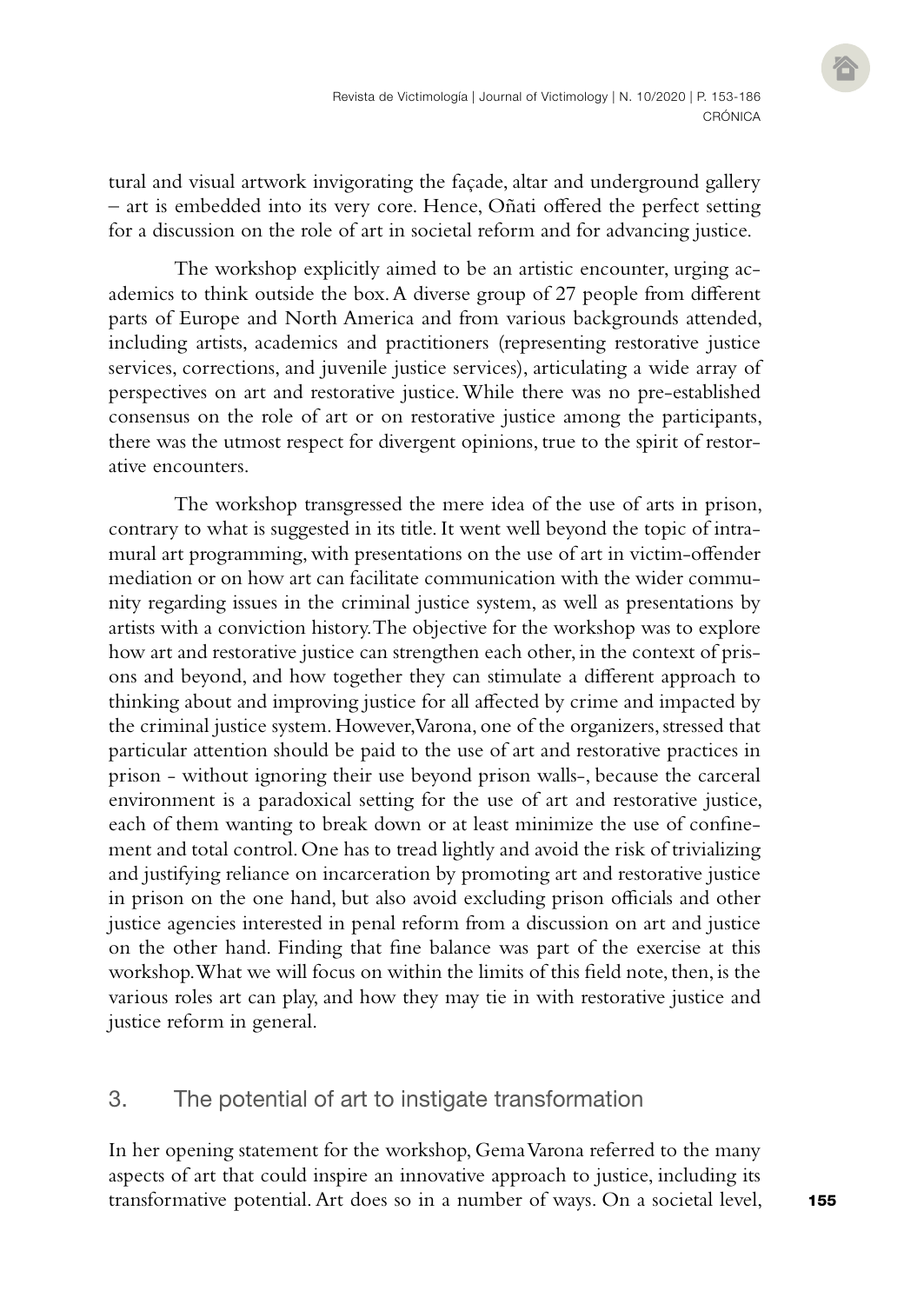tural and visual artwork invigorating the façade, altar and underground gallery – art is embedded into its very core. Hence, Oñati offered the perfect setting for a discussion on the role of art in societal reform and for advancing justice.

The workshop explicitly aimed to be an artistic encounter, urging academics to think outside the box. A diverse group of 27 people from different parts of Europe and North America and from various backgrounds attended, including artists, academics and practitioners (representing restorative justice services, corrections, and juvenile justice services), articulating a wide array of perspectives on art and restorative justice. While there was no pre-established consensus on the role of art or on restorative justice among the participants, there was the utmost respect for divergent opinions, true to the spirit of restorative encounters.

The workshop transgressed the mere idea of the use of arts in prison, contrary to what is suggested in its title. It went well beyond the topic of intramural art programming, with presentations on the use of art in victim-offender mediation or on how art can facilitate communication with the wider community regarding issues in the criminal justice system, as well as presentations by artists with a conviction history. The objective for the workshop was to explore how art and restorative justice can strengthen each other, in the context of prisons and beyond, and how together they can stimulate a different approach to thinking about and improving justice for all affected by crime and impacted by the criminal justice system. However, Varona, one of the organizers, stressed that particular attention should be paid to the use of art and restorative practices in prison - without ignoring their use beyond prison walls-, because the carceral environment is a paradoxical setting for the use of art and restorative justice, each of them wanting to break down or at least minimize the use of confinement and total control. One has to tread lightly and avoid the risk of trivializing and justifying reliance on incarceration by promoting art and restorative justice in prison on the one hand, but also avoid excluding prison officials and other justice agencies interested in penal reform from a discussion on art and justice on the other hand. Finding that fine balance was part of the exercise at this workshop. What we will focus on within the limits of this field note, then, is the various roles art can play, and how they may tie in with restorative justice and justice reform in general.

# 3. The potential of art to instigate transformation

In her opening statement for the workshop, Gema Varona referred to the many aspects of art that could inspire an innovative approach to justice, including its transformative potential. Art does so in a number of ways. On a societal level,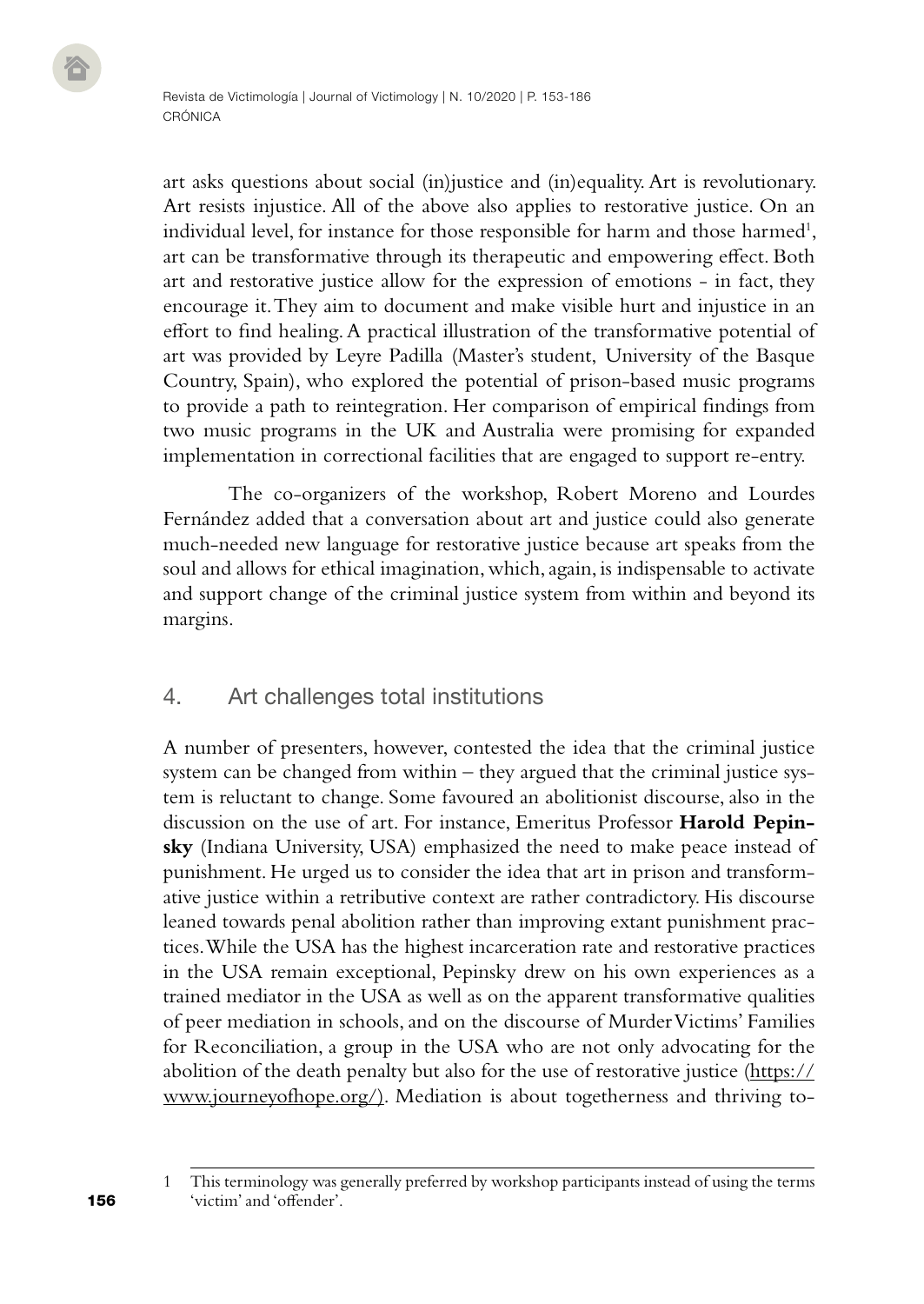art asks questions about social (in)justice and (in)equality. Art is revolutionary. Art resists injustice. All of the above also applies to restorative justice. On an individual level, for instance for those responsible for harm and those harmed<sup>1</sup>, art can be transformative through its therapeutic and empowering effect. Both art and restorative justice allow for the expression of emotions - in fact, they encourage it. They aim to document and make visible hurt and injustice in an effort to find healing. A practical illustration of the transformative potential of art was provided by Leyre Padilla (Master's student, University of the Basque Country, Spain), who explored the potential of prison-based music programs to provide a path to reintegration. Her comparison of empirical findings from two music programs in the UK and Australia were promising for expanded implementation in correctional facilities that are engaged to support re-entry.

The co-organizers of the workshop, Robert Moreno and Lourdes Fernández added that a conversation about art and justice could also generate much-needed new language for restorative justice because art speaks from the soul and allows for ethical imagination, which, again, is indispensable to activate and support change of the criminal justice system from within and beyond its margins.

# 4. Art challenges total institutions

A number of presenters, however, contested the idea that the criminal justice system can be changed from within – they argued that the criminal justice system is reluctant to change. Some favoured an abolitionist discourse, also in the discussion on the use of art. For instance, Emeritus Professor **Harold Pepinsky** (Indiana University, USA) emphasized the need to make peace instead of punishment. He urged us to consider the idea that art in prison and transformative justice within a retributive context are rather contradictory. His discourse leaned towards penal abolition rather than improving extant punishment practices. While the USA has the highest incarceration rate and restorative practices in the USA remain exceptional, Pepinsky drew on his own experiences as a trained mediator in the USA as well as on the apparent transformative qualities of peer mediation in schools, and on the discourse of Murder Victims' Families for Reconciliation, a group in the USA who are not only advocating for the abolition of the death penalty but also for the use of restorative justice [\(https://](https://www.journeyofhope.org/)) [www.journeyofhope.org/\)](https://www.journeyofhope.org/)). Mediation is about togetherness and thriving to-

156

This terminology was generally preferred by workshop participants instead of using the terms 'victim' and 'offender'.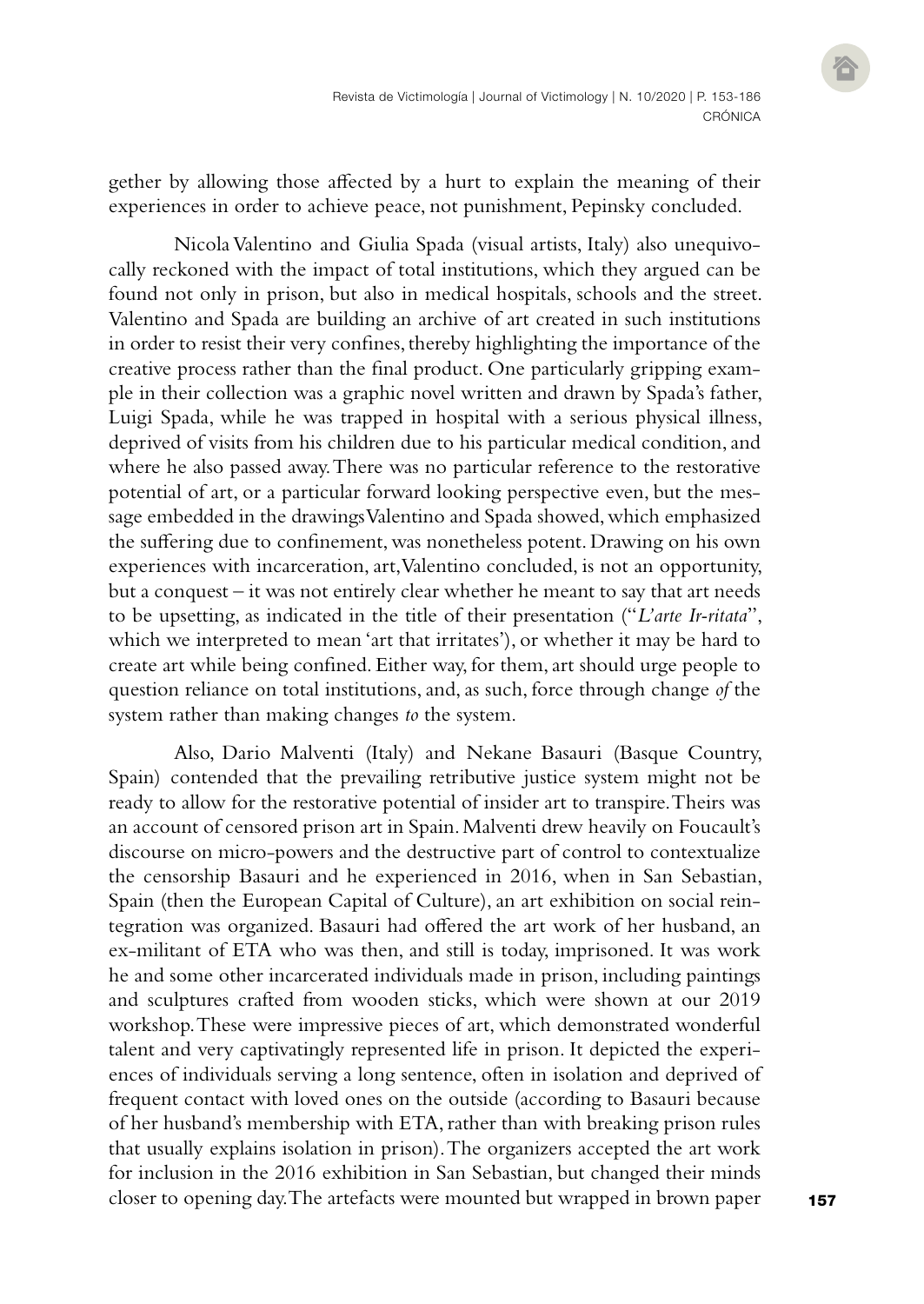gether by allowing those affected by a hurt to explain the meaning of their experiences in order to achieve peace, not punishment, Pepinsky concluded.

Nicola Valentino and Giulia Spada (visual artists, Italy) also unequivocally reckoned with the impact of total institutions, which they argued can be found not only in prison, but also in medical hospitals, schools and the street. Valentino and Spada are building an archive of art created in such institutions in order to resist their very confines, thereby highlighting the importance of the creative process rather than the final product. One particularly gripping example in their collection was a graphic novel written and drawn by Spada's father, Luigi Spada, while he was trapped in hospital with a serious physical illness, deprived of visits from his children due to his particular medical condition, and where he also passed away. There was no particular reference to the restorative potential of art, or a particular forward looking perspective even, but the message embedded in the drawings Valentino and Spada showed, which emphasized the suffering due to confinement, was nonetheless potent. Drawing on his own experiences with incarceration, art, Valentino concluded, is not an opportunity, but a conquest – it was not entirely clear whether he meant to say that art needs to be upsetting, as indicated in the title of their presentation ("*L'arte Ir-ritata*", which we interpreted to mean 'art that irritates'), or whether it may be hard to create art while being confined. Either way, for them, art should urge people to question reliance on total institutions, and, as such, force through change *of* the system rather than making changes *to* the system.

Also, Dario Malventi (Italy) and Nekane Basauri (Basque Country, Spain) contended that the prevailing retributive justice system might not be ready to allow for the restorative potential of insider art to transpire. Theirs was an account of censored prison art in Spain. Malventi drew heavily on Foucault's discourse on micro-powers and the destructive part of control to contextualize the censorship Basauri and he experienced in 2016, when in San Sebastian, Spain (then the European Capital of Culture), an art exhibition on social reintegration was organized. Basauri had offered the art work of her husband, an ex-militant of ETA who was then, and still is today, imprisoned. It was work he and some other incarcerated individuals made in prison, including paintings and sculptures crafted from wooden sticks, which were shown at our 2019 workshop. These were impressive pieces of art, which demonstrated wonderful talent and very captivatingly represented life in prison. It depicted the experiences of individuals serving a long sentence, often in isolation and deprived of frequent contact with loved ones on the outside (according to Basauri because of her husband's membership with ETA, rather than with breaking prison rules that usually explains isolation in prison). The organizers accepted the art work for inclusion in the 2016 exhibition in San Sebastian, but changed their minds closer to opening day. The artefacts were mounted but wrapped in brown paper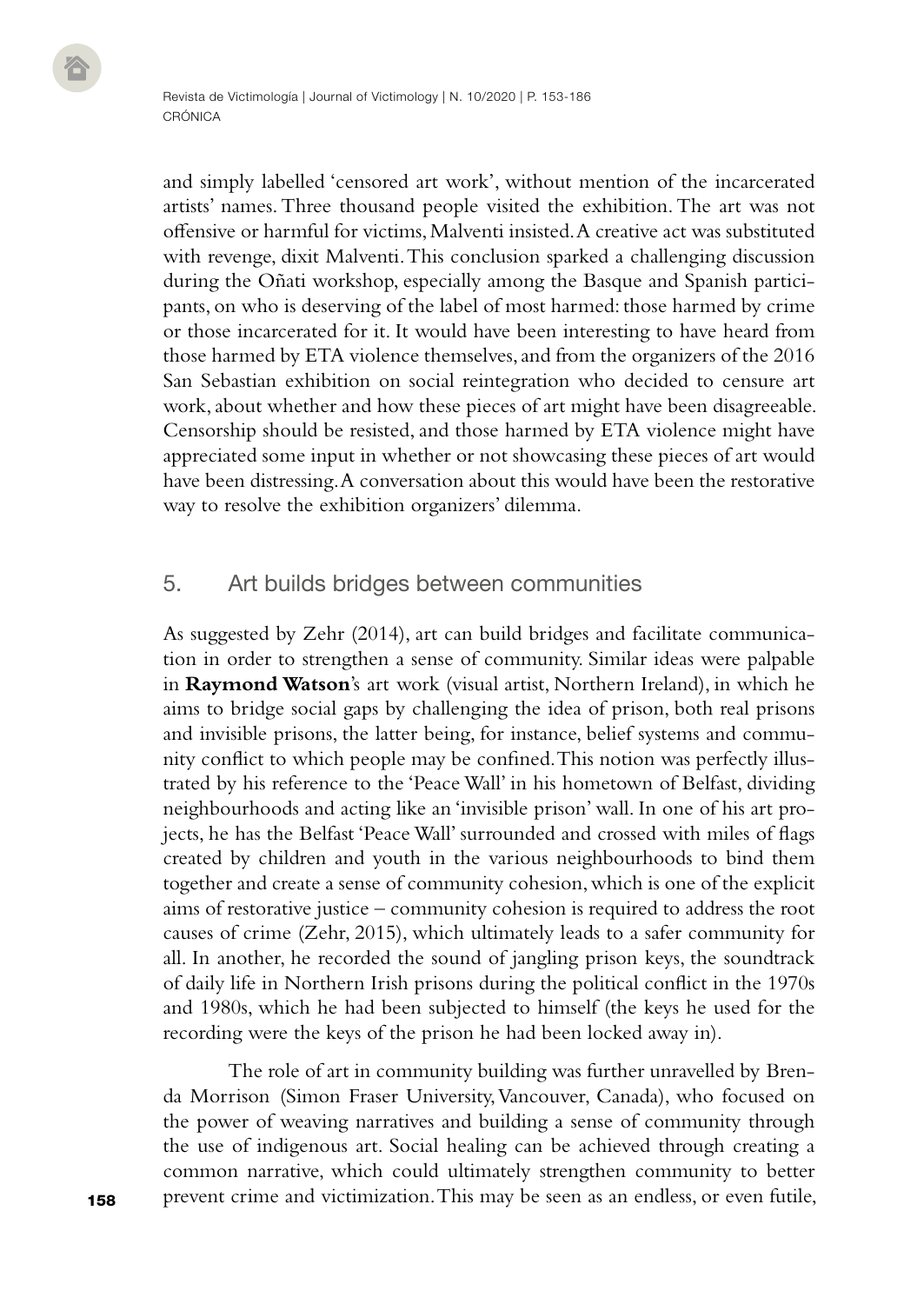and simply labelled 'censored art work', without mention of the incarcerated artists' names. Three thousand people visited the exhibition. The art was not offensive or harmful for victims, Malventi insisted. A creative act was substituted with revenge, dixit Malventi. This conclusion sparked a challenging discussion during the Oñati workshop, especially among the Basque and Spanish participants, on who is deserving of the label of most harmed: those harmed by crime or those incarcerated for it. It would have been interesting to have heard from those harmed by ETA violence themselves, and from the organizers of the 2016 San Sebastian exhibition on social reintegration who decided to censure art work, about whether and how these pieces of art might have been disagreeable. Censorship should be resisted, and those harmed by ETA violence might have appreciated some input in whether or not showcasing these pieces of art would have been distressing. A conversation about this would have been the restorative way to resolve the exhibition organizers' dilemma.

# 5. Art builds bridges between communities

As suggested by Zehr (2014), art can build bridges and facilitate communication in order to strengthen a sense of community. Similar ideas were palpable in **Raymond Watson**'s art work (visual artist, Northern Ireland), in which he aims to bridge social gaps by challenging the idea of prison, both real prisons and invisible prisons, the latter being, for instance, belief systems and community conflict to which people may be confined. This notion was perfectly illustrated by his reference to the 'Peace Wall' in his hometown of Belfast, dividing neighbourhoods and acting like an 'invisible prison' wall. In one of his art projects, he has the Belfast 'Peace Wall' surrounded and crossed with miles of flags created by children and youth in the various neighbourhoods to bind them together and create a sense of community cohesion, which is one of the explicit aims of restorative justice – community cohesion is required to address the root causes of crime (Zehr, 2015), which ultimately leads to a safer community for all. In another, he recorded the sound of jangling prison keys, the soundtrack of daily life in Northern Irish prisons during the political conflict in the 1970s and 1980s, which he had been subjected to himself (the keys he used for the recording were the keys of the prison he had been locked away in).

The role of art in community building was further unravelled by Brenda Morrison (Simon Fraser University, Vancouver, Canada), who focused on the power of weaving narratives and building a sense of community through the use of indigenous art. Social healing can be achieved through creating a common narrative, which could ultimately strengthen community to better prevent crime and victimization. This may be seen as an endless, or even futile,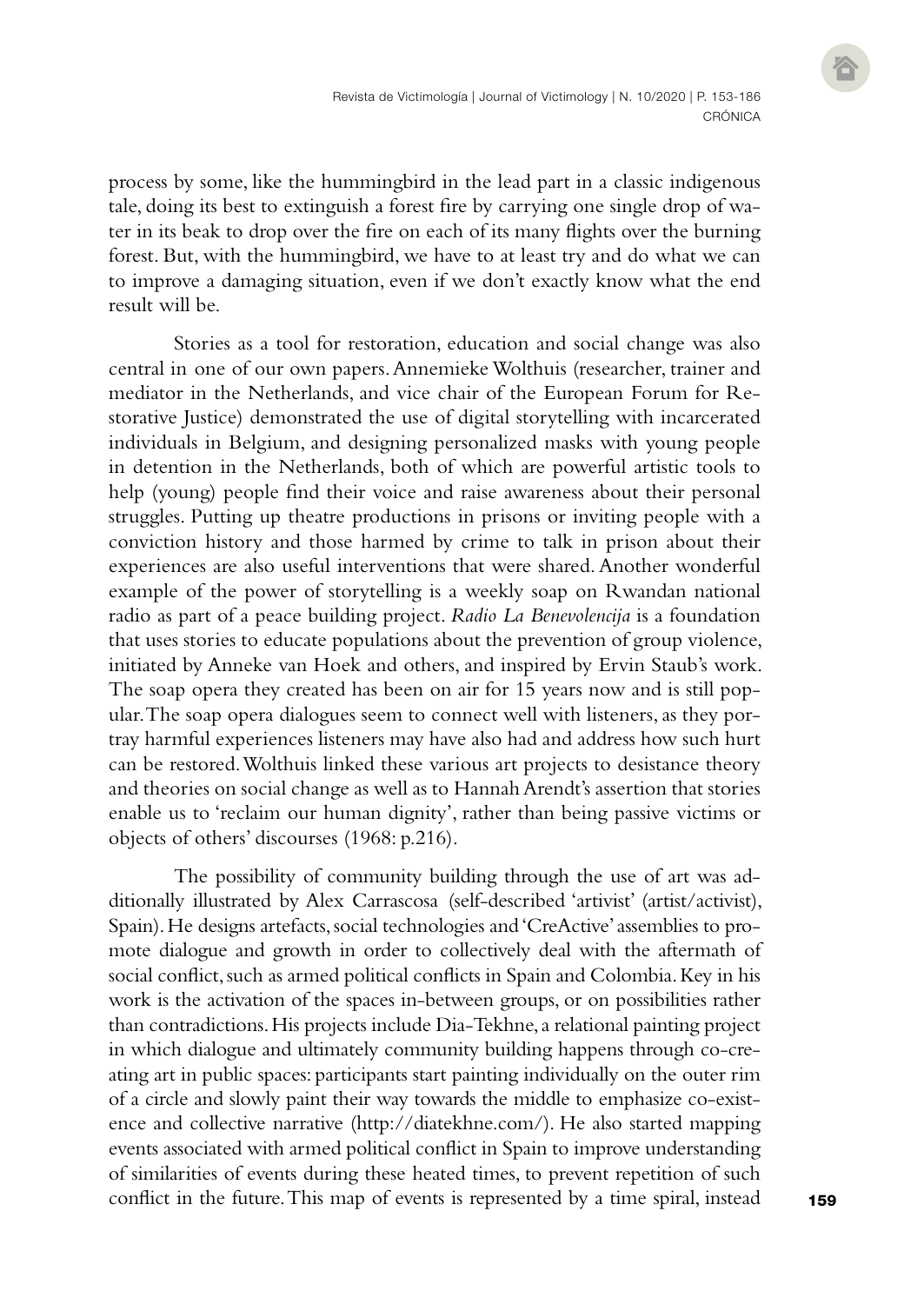process by some, like the hummingbird in the lead part in a classic indigenous tale, doing its best to extinguish a forest fire by carrying one single drop of water in its beak to drop over the fire on each of its many flights over the burning forest. But, with the hummingbird, we have to at least try and do what we can to improve a damaging situation, even if we don't exactly know what the end result will be.

Stories as a tool for restoration, education and social change was also central in one of our own papers. Annemieke Wolthuis (researcher, trainer and mediator in the Netherlands, and vice chair of the European Forum for Restorative Justice) demonstrated the use of digital storytelling with incarcerated individuals in Belgium, and designing personalized masks with young people in detention in the Netherlands, both of which are powerful artistic tools to help (young) people find their voice and raise awareness about their personal struggles. Putting up theatre productions in prisons or inviting people with a conviction history and those harmed by crime to talk in prison about their experiences are also useful interventions that were shared. Another wonderful example of the power of storytelling is a weekly soap on Rwandan national radio as part of a peace building project. *Radio La Benevolencija* is a foundation that uses stories to educate populations about the prevention of group violence, initiated by Anneke van Hoek and others, and inspired by Ervin Staub's work. The soap opera they created has been on air for 15 years now and is still popular. The soap opera dialogues seem to connect well with listeners, as they portray harmful experiences listeners may have also had and address how such hurt can be restored. Wolthuis linked these various art projects to desistance theory and theories on social change as well as to Hannah Arendt's assertion that stories enable us to 'reclaim our human dignity', rather than being passive victims or objects of others' discourses (1968: p.216).

The possibility of community building through the use of art was additionally illustrated by Alex Carrascosa (self-described 'artivist' (artist/activist), Spain). He designs artefacts, social technologies and 'CreActive' assemblies to promote dialogue and growth in order to collectively deal with the aftermath of social conflict, such as armed political conflicts in Spain and Colombia. Key in his work is the activation of the spaces in-between groups, or on possibilities rather than contradictions. His projects include Dia-Tekhne, a relational painting project in which dialogue and ultimately community building happens through co-creating art in public spaces: participants start painting individually on the outer rim of a circle and slowly paint their way towards the middle to emphasize co-existence and collective narrative [\(http://diatekhne.com/](http://diatekhne.com/)). He also started mapping events associated with armed political conflict in Spain to improve understanding of similarities of events during these heated times, to prevent repetition of such conflict in the future. This map of events is represented by a time spiral, instead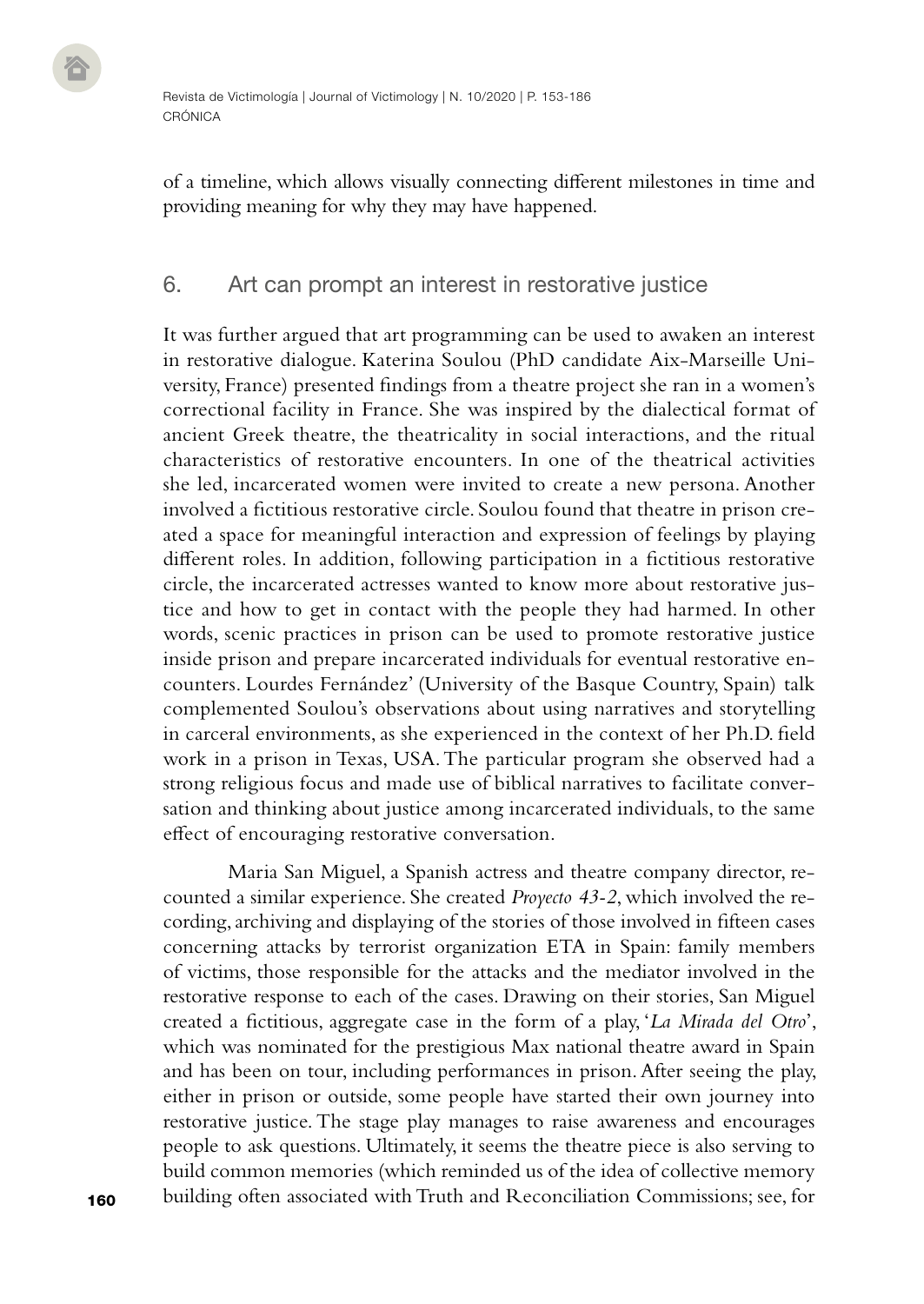of a timeline, which allows visually connecting different milestones in time and providing meaning for why they may have happened.

## 6. Art can prompt an interest in restorative justice

It was further argued that art programming can be used to awaken an interest in restorative dialogue. Katerina Soulou (PhD candidate Aix-Marseille University, France) presented findings from a theatre project she ran in a women's correctional facility in France. She was inspired by the dialectical format of ancient Greek theatre, the theatricality in social interactions, and the ritual characteristics of restorative encounters. In one of the theatrical activities she led, incarcerated women were invited to create a new persona. Another involved a fictitious restorative circle. Soulou found that theatre in prison created a space for meaningful interaction and expression of feelings by playing different roles. In addition, following participation in a fictitious restorative circle, the incarcerated actresses wanted to know more about restorative justice and how to get in contact with the people they had harmed. In other words, scenic practices in prison can be used to promote restorative justice inside prison and prepare incarcerated individuals for eventual restorative encounters. Lourdes Fernández' (University of the Basque Country, Spain) talk complemented Soulou's observations about using narratives and storytelling in carceral environments, as she experienced in the context of her Ph.D. field work in a prison in Texas, USA. The particular program she observed had a strong religious focus and made use of biblical narratives to facilitate conversation and thinking about justice among incarcerated individuals, to the same effect of encouraging restorative conversation.

Maria San Miguel, a Spanish actress and theatre company director, recounted a similar experience. She created *Proyecto 43-2*, which involved the recording, archiving and displaying of the stories of those involved in fifteen cases concerning attacks by terrorist organization ETA in Spain: family members of victims, those responsible for the attacks and the mediator involved in the restorative response to each of the cases. Drawing on their stories, San Miguel created a fictitious, aggregate case in the form of a play, '*La Mirada del Otro*', which was nominated for the prestigious Max national theatre award in Spain and has been on tour, including performances in prison. After seeing the play, either in prison or outside, some people have started their own journey into restorative justice. The stage play manages to raise awareness and encourages people to ask questions. Ultimately, it seems the theatre piece is also serving to build common memories (which reminded us of the idea of collective memory building often associated with Truth and Reconciliation Commissions; see, for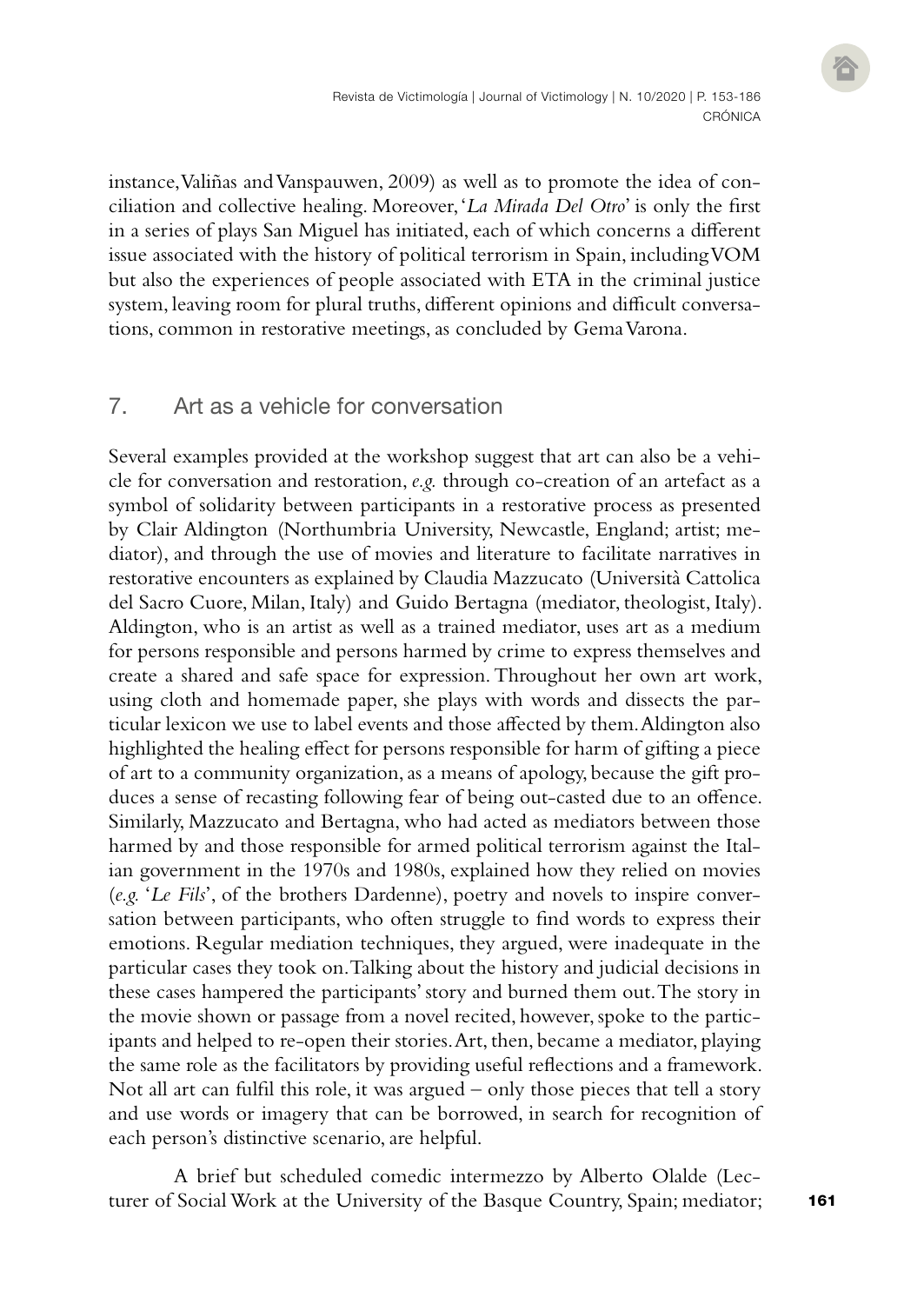instance, Valiñas and Vanspauwen, 2009) as well as to promote the idea of conciliation and collective healing. Moreover, '*La Mirada Del Otro*' is only the first in a series of plays San Miguel has initiated, each of which concerns a different issue associated with the history of political terrorism in Spain, including VOM but also the experiences of people associated with ETA in the criminal justice system, leaving room for plural truths, different opinions and difficult conversations, common in restorative meetings, as concluded by Gema Varona.

## 7. Art as a vehicle for conversation

Several examples provided at the workshop suggest that art can also be a vehicle for conversation and restoration, *e.g.* through co-creation of an artefact as a symbol of solidarity between participants in a restorative process as presented by Clair Aldington (Northumbria University, Newcastle, England; artist; mediator), and through the use of movies and literature to facilitate narratives in restorative encounters as explained by Claudia Mazzucato (Università Cattolica del Sacro Cuore, Milan, Italy) and Guido Bertagna (mediator, theologist, Italy). Aldington, who is an artist as well as a trained mediator, uses art as a medium for persons responsible and persons harmed by crime to express themselves and create a shared and safe space for expression. Throughout her own art work, using cloth and homemade paper, she plays with words and dissects the particular lexicon we use to label events and those affected by them. Aldington also highlighted the healing effect for persons responsible for harm of gifting a piece of art to a community organization, as a means of apology, because the gift produces a sense of recasting following fear of being out-casted due to an offence. Similarly, Mazzucato and Bertagna, who had acted as mediators between those harmed by and those responsible for armed political terrorism against the Italian government in the 1970s and 1980s, explained how they relied on movies (*e.g.* '*Le Fils*', of the brothers Dardenne), poetry and novels to inspire conversation between participants, who often struggle to find words to express their emotions. Regular mediation techniques, they argued, were inadequate in the particular cases they took on. Talking about the history and judicial decisions in these cases hampered the participants' story and burned them out. The story in the movie shown or passage from a novel recited, however, spoke to the participants and helped to re-open their stories. Art, then, became a mediator, playing the same role as the facilitators by providing useful reflections and a framework. Not all art can fulfil this role, it was argued – only those pieces that tell a story and use words or imagery that can be borrowed, in search for recognition of each person's distinctive scenario, are helpful.

A brief but scheduled comedic intermezzo by Alberto Olalde (Lecturer of Social Work at the University of the Basque Country, Spain; mediator;

161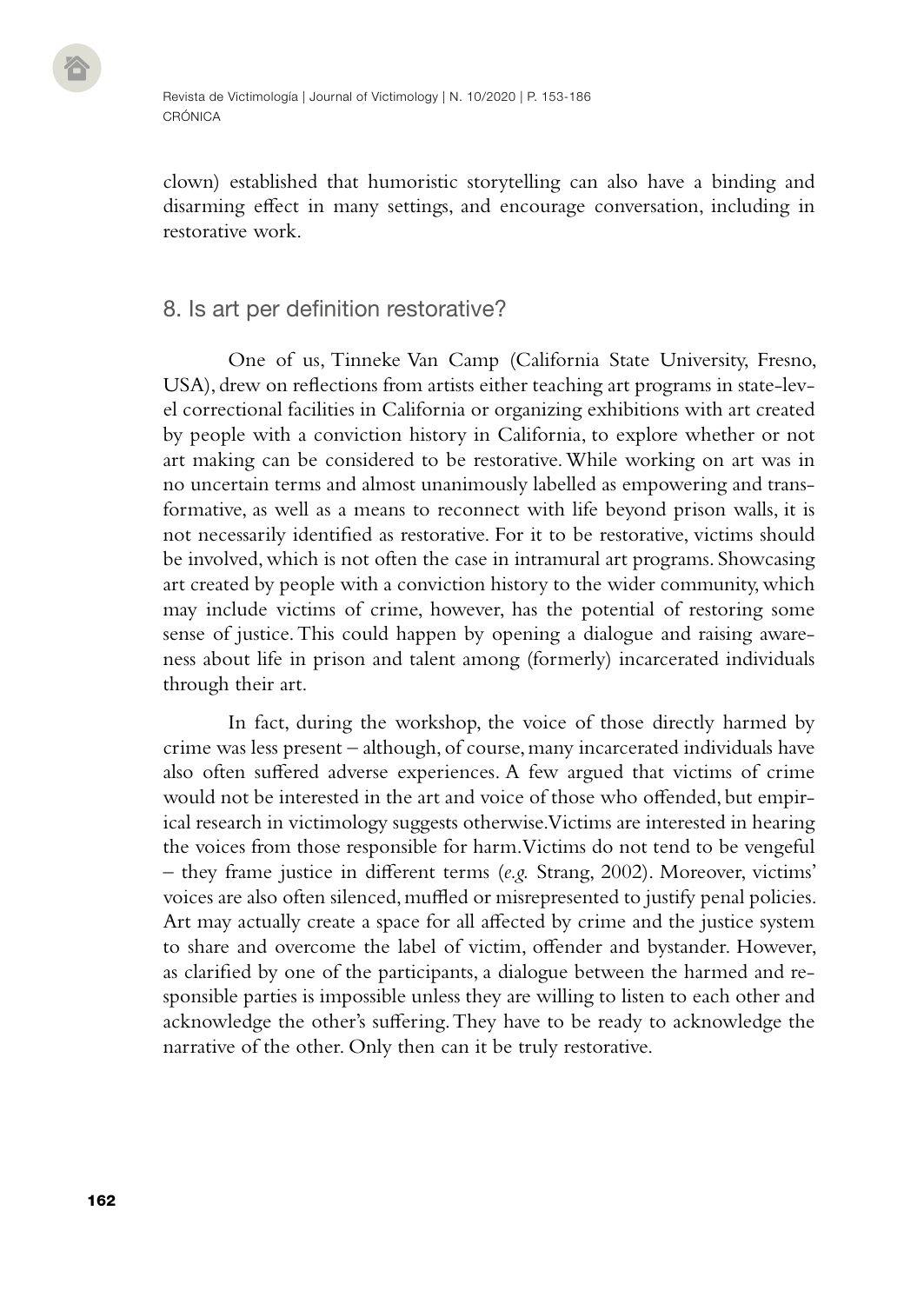clown) established that humoristic storytelling can also have a binding and disarming effect in many settings, and encourage conversation, including in restorative work.

## 8. Is art per definition restorative?

One of us, Tinneke Van Camp (California State University, Fresno, USA), drew on reflections from artists either teaching art programs in state-level correctional facilities in California or organizing exhibitions with art created by people with a conviction history in California, to explore whether or not art making can be considered to be restorative. While working on art was in no uncertain terms and almost unanimously labelled as empowering and transformative, as well as a means to reconnect with life beyond prison walls, it is not necessarily identified as restorative. For it to be restorative, victims should be involved, which is not often the case in intramural art programs. Showcasing art created by people with a conviction history to the wider community, which may include victims of crime, however, has the potential of restoring some sense of justice. This could happen by opening a dialogue and raising awareness about life in prison and talent among (formerly) incarcerated individuals through their art.

In fact, during the workshop, the voice of those directly harmed by crime was less present – although, of course, many incarcerated individuals have also often suffered adverse experiences. A few argued that victims of crime would not be interested in the art and voice of those who offended, but empirical research in victimology suggests otherwise. Victims are interested in hearing the voices from those responsible for harm. Victims do not tend to be vengeful – they frame justice in different terms (*e.g.* Strang, 2002). Moreover, victims' voices are also often silenced, muffled or misrepresented to justify penal policies. Art may actually create a space for all affected by crime and the justice system to share and overcome the label of victim, offender and bystander. However, as clarified by one of the participants, a dialogue between the harmed and responsible parties is impossible unless they are willing to listen to each other and acknowledge the other's suffering. They have to be ready to acknowledge the narrative of the other. Only then can it be truly restorative.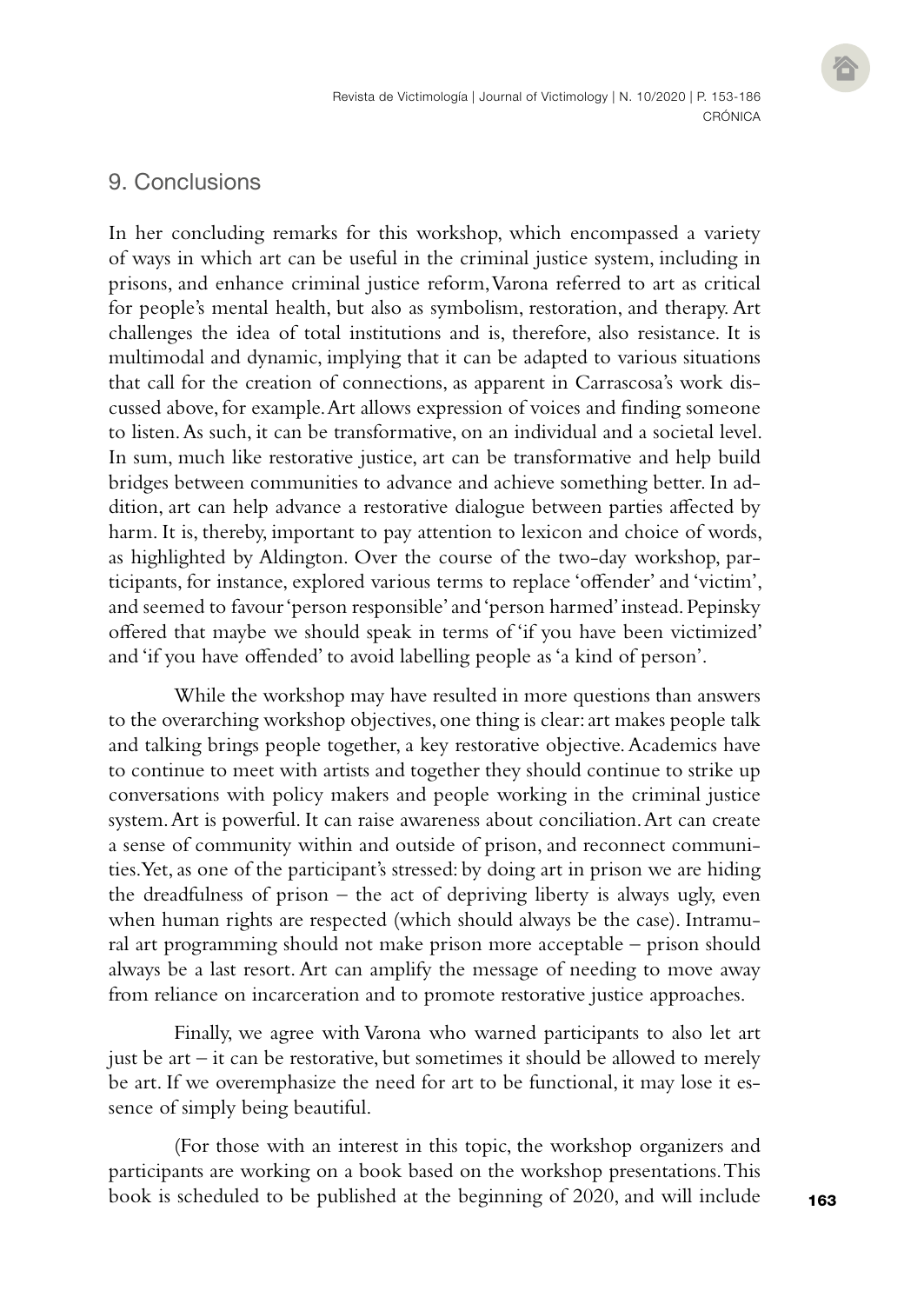# 9. Conclusions

In her concluding remarks for this workshop, which encompassed a variety of ways in which art can be useful in the criminal justice system, including in prisons, and enhance criminal justice reform, Varona referred to art as critical for people's mental health, but also as symbolism, restoration, and therapy. Art challenges the idea of total institutions and is, therefore, also resistance. It is multimodal and dynamic, implying that it can be adapted to various situations that call for the creation of connections, as apparent in Carrascosa's work discussed above, for example. Art allows expression of voices and finding someone to listen. As such, it can be transformative, on an individual and a societal level. In sum, much like restorative justice, art can be transformative and help build bridges between communities to advance and achieve something better. In addition, art can help advance a restorative dialogue between parties affected by harm. It is, thereby, important to pay attention to lexicon and choice of words, as highlighted by Aldington. Over the course of the two-day workshop, participants, for instance, explored various terms to replace 'offender' and 'victim', and seemed to favour 'person responsible' and 'person harmed' instead. Pepinsky offered that maybe we should speak in terms of 'if you have been victimized' and 'if you have offended' to avoid labelling people as 'a kind of person'.

While the workshop may have resulted in more questions than answers to the overarching workshop objectives, one thing is clear: art makes people talk and talking brings people together, a key restorative objective. Academics have to continue to meet with artists and together they should continue to strike up conversations with policy makers and people working in the criminal justice system. Art is powerful. It can raise awareness about conciliation. Art can create a sense of community within and outside of prison, and reconnect communities. Yet, as one of the participant's stressed: by doing art in prison we are hiding the dreadfulness of prison – the act of depriving liberty is always ugly, even when human rights are respected (which should always be the case). Intramural art programming should not make prison more acceptable – prison should always be a last resort. Art can amplify the message of needing to move away from reliance on incarceration and to promote restorative justice approaches.

Finally, we agree with Varona who warned participants to also let art just be art – it can be restorative, but sometimes it should be allowed to merely be art. If we overemphasize the need for art to be functional, it may lose it essence of simply being beautiful.

(For those with an interest in this topic, the workshop organizers and participants are working on a book based on the workshop presentations. This book is scheduled to be published at the beginning of 2020, and will include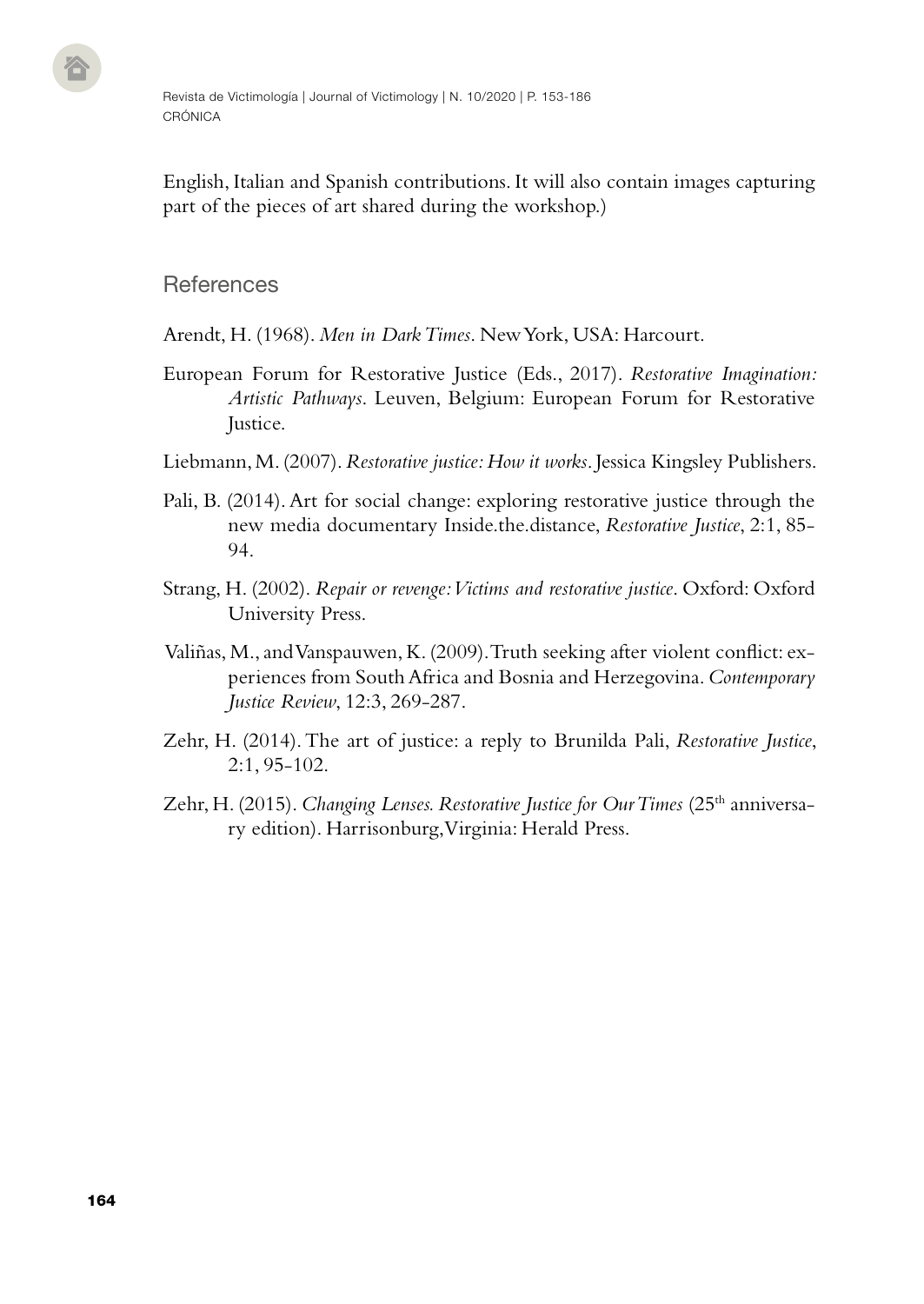English, Italian and Spanish contributions. It will also contain images capturing part of the pieces of art shared during the workshop.)

# **References**

Arendt, H. (1968). *Men in Dark Times*. New York, USA: Harcourt.

- European Forum for Restorative Justice (Eds., 2017). *Restorative Imagination: Artistic Pathways*. Leuven, Belgium: European Forum for Restorative Justice.
- Liebmann, M. (2007). *Restorative justice: How it works*. Jessica Kingsley Publishers.
- Pali, B. (2014). Art for social change: exploring restorative justice through the new media documentary Inside.the.distance, *Restorative Justice*, 2:1, 85- 94.
- Strang, H. (2002). *Repair or revenge: Victims and restorative justice*. Oxford: Oxford University Press.
- Valiñas, M., and Vanspauwen, K. (2009). Truth seeking after violent conflict: experiences from South Africa and Bosnia and Herzegovina. *Contemporary Justice Review*, 12:3, 269-287.
- Zehr, H. (2014). The art of justice: a reply to Brunilda Pali, *Restorative Justice*, 2:1, 95-102.
- Zehr, H. (2015). *Changing Lenses. Restorative Justice for Our Times* (25<sup>th</sup> anniversary edition). Harrisonburg, Virginia: Herald Press.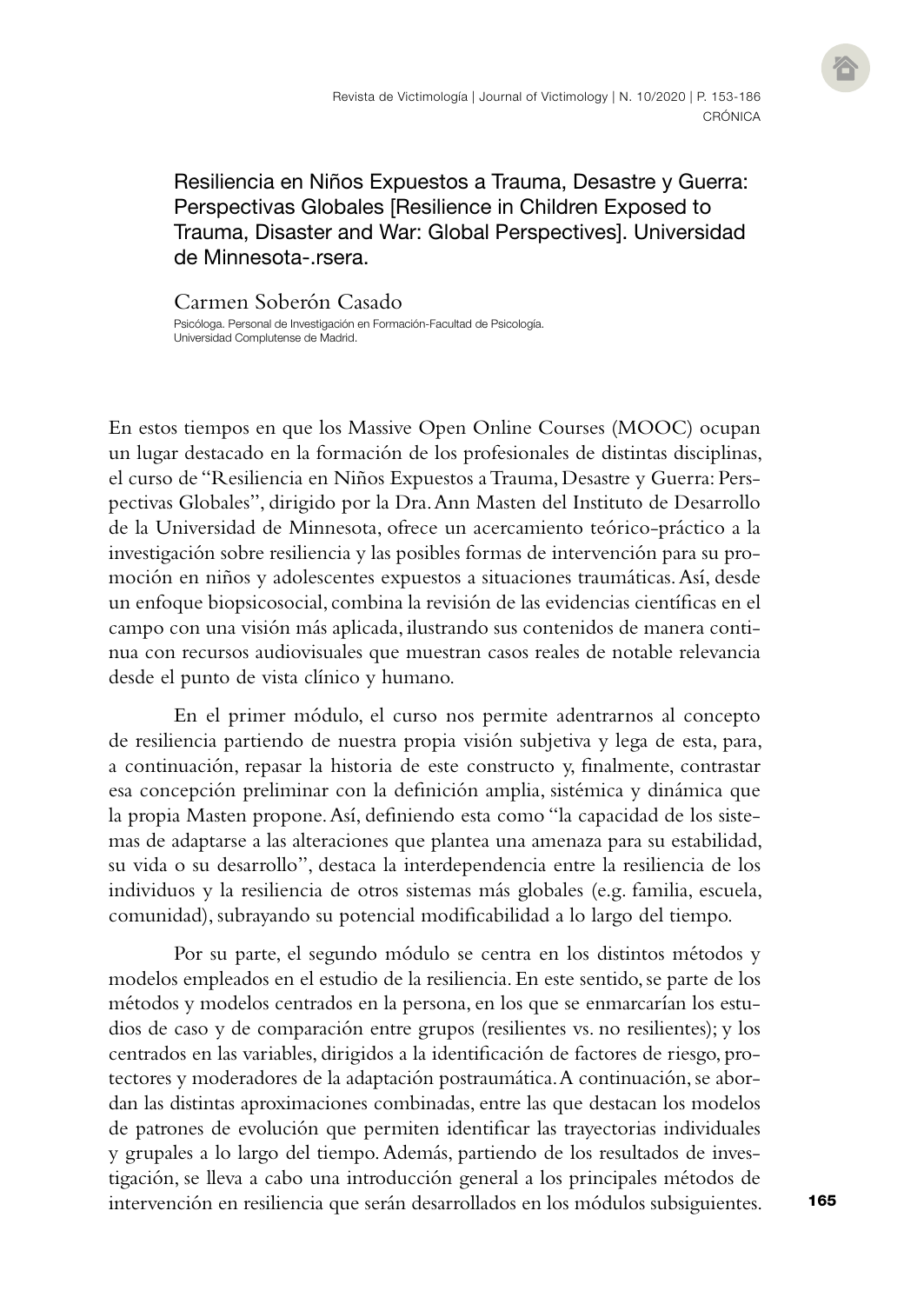# Resiliencia en Niños Expuestos a Trauma, Desastre y Guerra: Perspectivas Globales [Resilience in Children Exposed to Trauma, Disaster and War: Global Perspectives]. Universidad de Minnesota- rsera.

Carmen Soberón Casado Psicóloga. Personal de Investigación en Formación-Facultad de Psicología. Universidad Complutense de Madrid.

En estos tiempos en que los Massive Open Online Courses (MOOC) ocupan un lugar destacado en la formación de los profesionales de distintas disciplinas, el curso de "Resiliencia en Niños Expuestos a Trauma, Desastre y Guerra: Perspectivas Globales", dirigido por la Dra. Ann Masten del Instituto de Desarrollo de la Universidad de Minnesota, ofrece un acercamiento teórico-práctico a la investigación sobre resiliencia y las posibles formas de intervención para su promoción en niños y adolescentes expuestos a situaciones traumáticas. Así, desde un enfoque biopsicosocial, combina la revisión de las evidencias científicas en el campo con una visión más aplicada, ilustrando sus contenidos de manera continua con recursos audiovisuales que muestran casos reales de notable relevancia desde el punto de vista clínico y humano.

En el primer módulo, el curso nos permite adentrarnos al concepto de resiliencia partiendo de nuestra propia visión subjetiva y lega de esta, para, a continuación, repasar la historia de este constructo y, finalmente, contrastar esa concepción preliminar con la definición amplia, sistémica y dinámica que la propia Masten propone. Así, definiendo esta como "la capacidad de los sistemas de adaptarse a las alteraciones que plantea una amenaza para su estabilidad, su vida o su desarrollo", destaca la interdependencia entre la resiliencia de los individuos y la resiliencia de otros sistemas más globales (e.g. familia, escuela, comunidad), subrayando su potencial modificabilidad a lo largo del tiempo.

Por su parte, el segundo módulo se centra en los distintos métodos y modelos empleados en el estudio de la resiliencia. En este sentido, se parte de los métodos y modelos centrados en la persona, en los que se enmarcarían los estudios de caso y de comparación entre grupos (resilientes vs. no resilientes); y los centrados en las variables, dirigidos a la identificación de factores de riesgo, protectores y moderadores de la adaptación postraumática. A continuación, se abordan las distintas aproximaciones combinadas, entre las que destacan los modelos de patrones de evolución que permiten identificar las trayectorias individuales y grupales a lo largo del tiempo. Además, partiendo de los resultados de investigación, se lleva a cabo una introducción general a los principales métodos de intervención en resiliencia que serán desarrollados en los módulos subsiguientes.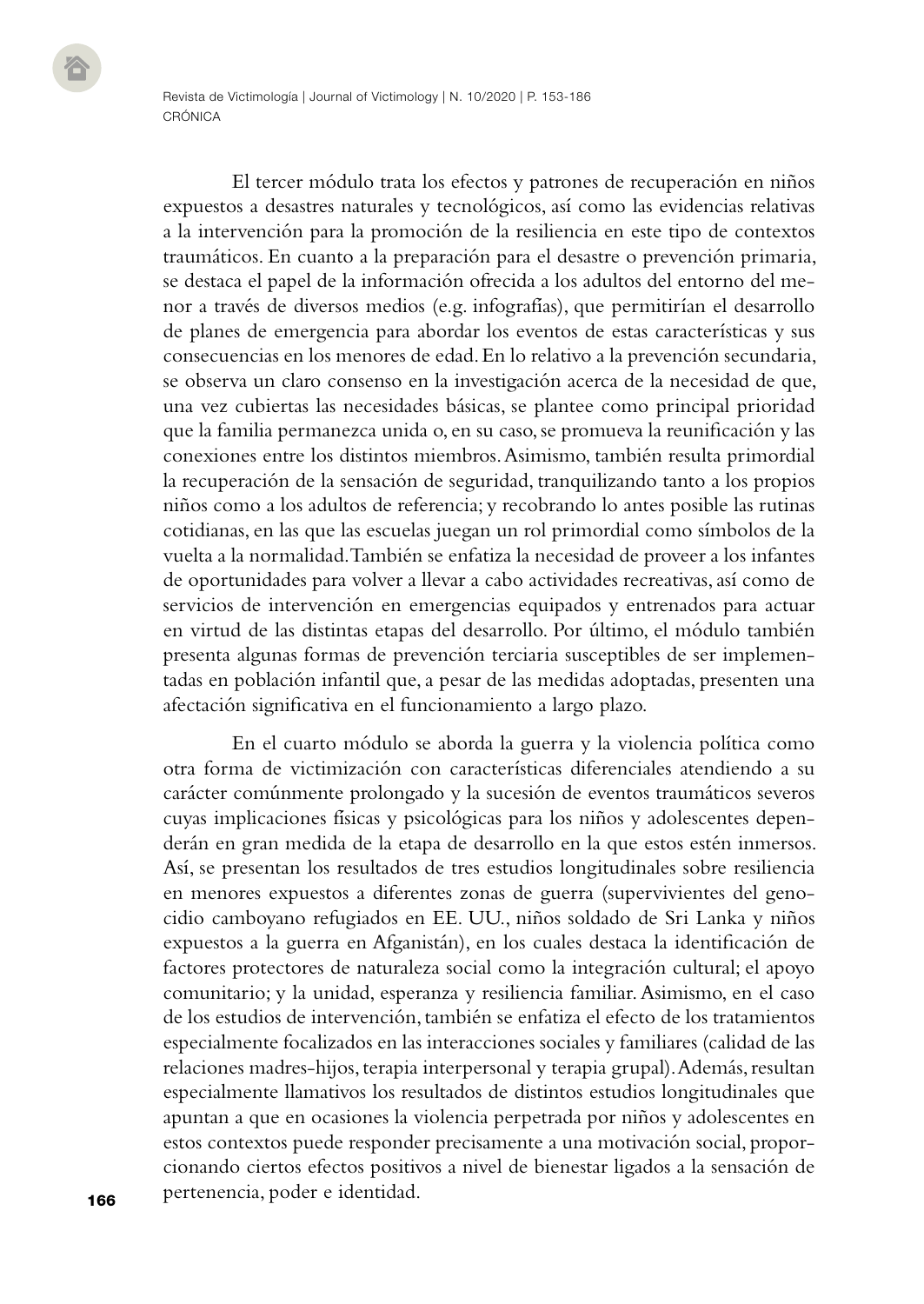El tercer módulo trata los efectos y patrones de recuperación en niños expuestos a desastres naturales y tecnológicos, así como las evidencias relativas a la intervención para la promoción de la resiliencia en este tipo de contextos traumáticos. En cuanto a la preparación para el desastre o prevención primaria, se destaca el papel de la información ofrecida a los adultos del entorno del menor a través de diversos medios (e.g. infografías), que permitirían el desarrollo de planes de emergencia para abordar los eventos de estas características y sus consecuencias en los menores de edad. En lo relativo a la prevención secundaria, se observa un claro consenso en la investigación acerca de la necesidad de que, una vez cubiertas las necesidades básicas, se plantee como principal prioridad que la familia permanezca unida o, en su caso, se promueva la reunificación y las conexiones entre los distintos miembros. Asimismo, también resulta primordial la recuperación de la sensación de seguridad, tranquilizando tanto a los propios niños como a los adultos de referencia; y recobrando lo antes posible las rutinas cotidianas, en las que las escuelas juegan un rol primordial como símbolos de la vuelta a la normalidad. También se enfatiza la necesidad de proveer a los infantes de oportunidades para volver a llevar a cabo actividades recreativas, así como de servicios de intervención en emergencias equipados y entrenados para actuar en virtud de las distintas etapas del desarrollo. Por último, el módulo también presenta algunas formas de prevención terciaria susceptibles de ser implementadas en población infantil que, a pesar de las medidas adoptadas, presenten una afectación significativa en el funcionamiento a largo plazo.

En el cuarto módulo se aborda la guerra y la violencia política como otra forma de victimización con características diferenciales atendiendo a su carácter comúnmente prolongado y la sucesión de eventos traumáticos severos cuyas implicaciones físicas y psicológicas para los niños y adolescentes dependerán en gran medida de la etapa de desarrollo en la que estos estén inmersos. Así, se presentan los resultados de tres estudios longitudinales sobre resiliencia en menores expuestos a diferentes zonas de guerra (supervivientes del genocidio camboyano refugiados en EE. UU., niños soldado de Sri Lanka y niños expuestos a la guerra en Afganistán), en los cuales destaca la identificación de factores protectores de naturaleza social como la integración cultural; el apoyo comunitario; y la unidad, esperanza y resiliencia familiar. Asimismo, en el caso de los estudios de intervención, también se enfatiza el efecto de los tratamientos especialmente focalizados en las interacciones sociales y familiares (calidad de las relaciones madres-hijos, terapia interpersonal y terapia grupal). Además, resultan especialmente llamativos los resultados de distintos estudios longitudinales que apuntan a que en ocasiones la violencia perpetrada por niños y adolescentes en estos contextos puede responder precisamente a una motivación social, proporcionando ciertos efectos positivos a nivel de bienestar ligados a la sensación de pertenencia, poder e identidad.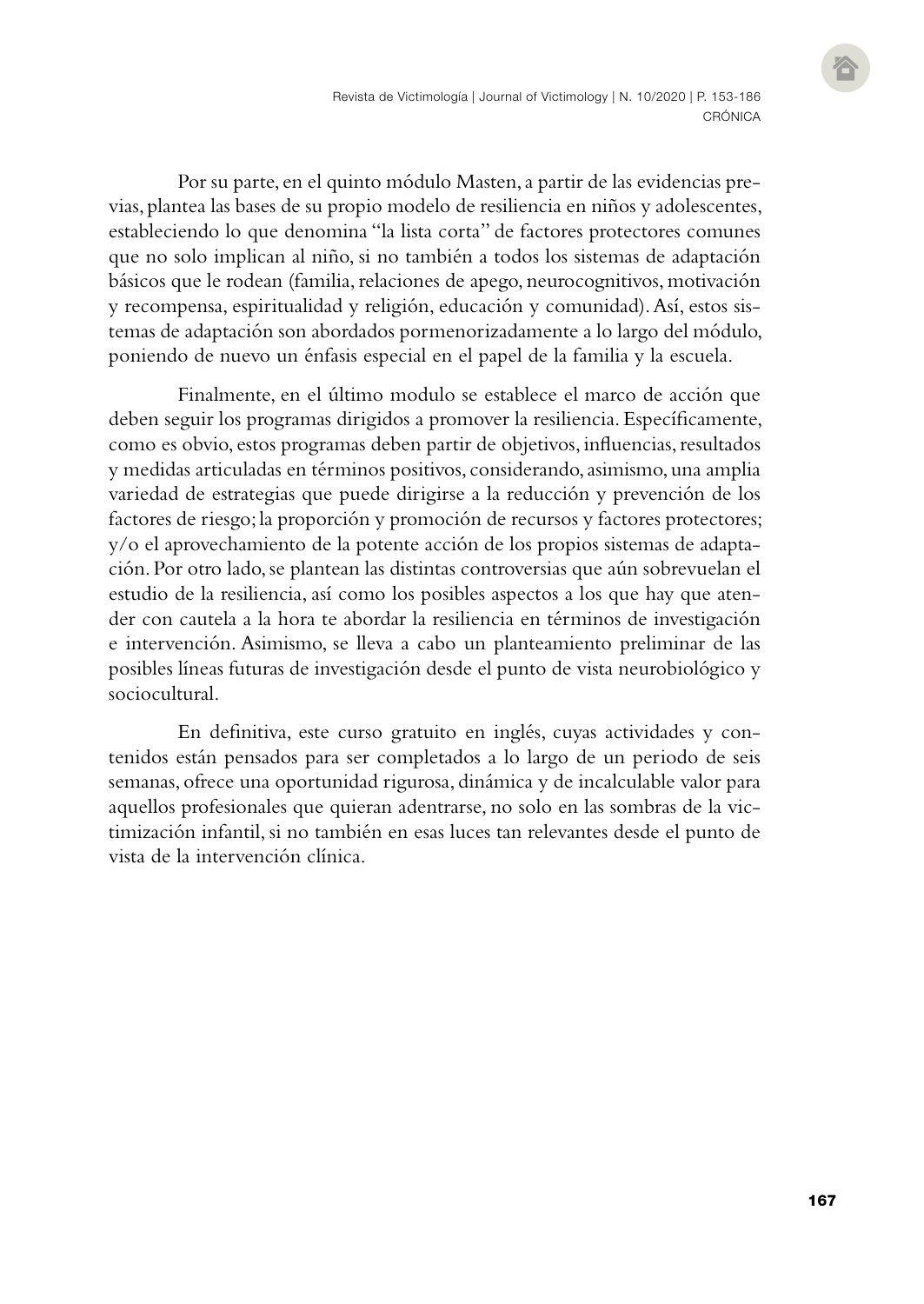Por su parte, en el quinto módulo Masten, a partir de las evidencias previas, plantea las bases de su propio modelo de resiliencia en niños y adolescentes, estableciendo lo que denomina "la lista corta" de factores protectores comunes que no solo implican al niño, si no también a todos los sistemas de adaptación básicos que le rodean (familia, relaciones de apego, neurocognitivos, motivación y recompensa, espiritualidad y religión, educación y comunidad). Así, estos sistemas de adaptación son abordados pormenorizadamente a lo largo del módulo, poniendo de nuevo un énfasis especial en el papel de la familia y la escuela.

Finalmente, en el último modulo se establece el marco de acción que deben seguir los programas dirigidos a promover la resiliencia. Específicamente, como es obvio, estos programas deben partir de objetivos, influencias, resultados y medidas articuladas en términos positivos, considerando, asimismo, una amplia variedad de estrategias que puede dirigirse a la reducción y prevención de los factores de riesgo; la proporción y promoción de recursos y factores protectores; y/o el aprovechamiento de la potente acción de los propios sistemas de adaptación. Por otro lado, se plantean las distintas controversias que aún sobrevuelan el estudio de la resiliencia, así como los posibles aspectos a los que hay que atender con cautela a la hora te abordar la resiliencia en términos de investigación e intervención. Asimismo, se lleva a cabo un planteamiento preliminar de las posibles líneas futuras de investigación desde el punto de vista neurobiológico y sociocultural.

En definitiva, este curso gratuito en inglés, cuyas actividades y contenidos están pensados para ser completados a lo largo de un periodo de seis semanas, ofrece una oportunidad rigurosa, dinámica y de incalculable valor para aquellos profesionales que quieran adentrarse, no solo en las sombras de la victimización infantil, si no también en esas luces tan relevantes desde el punto de vista de la intervención clínica.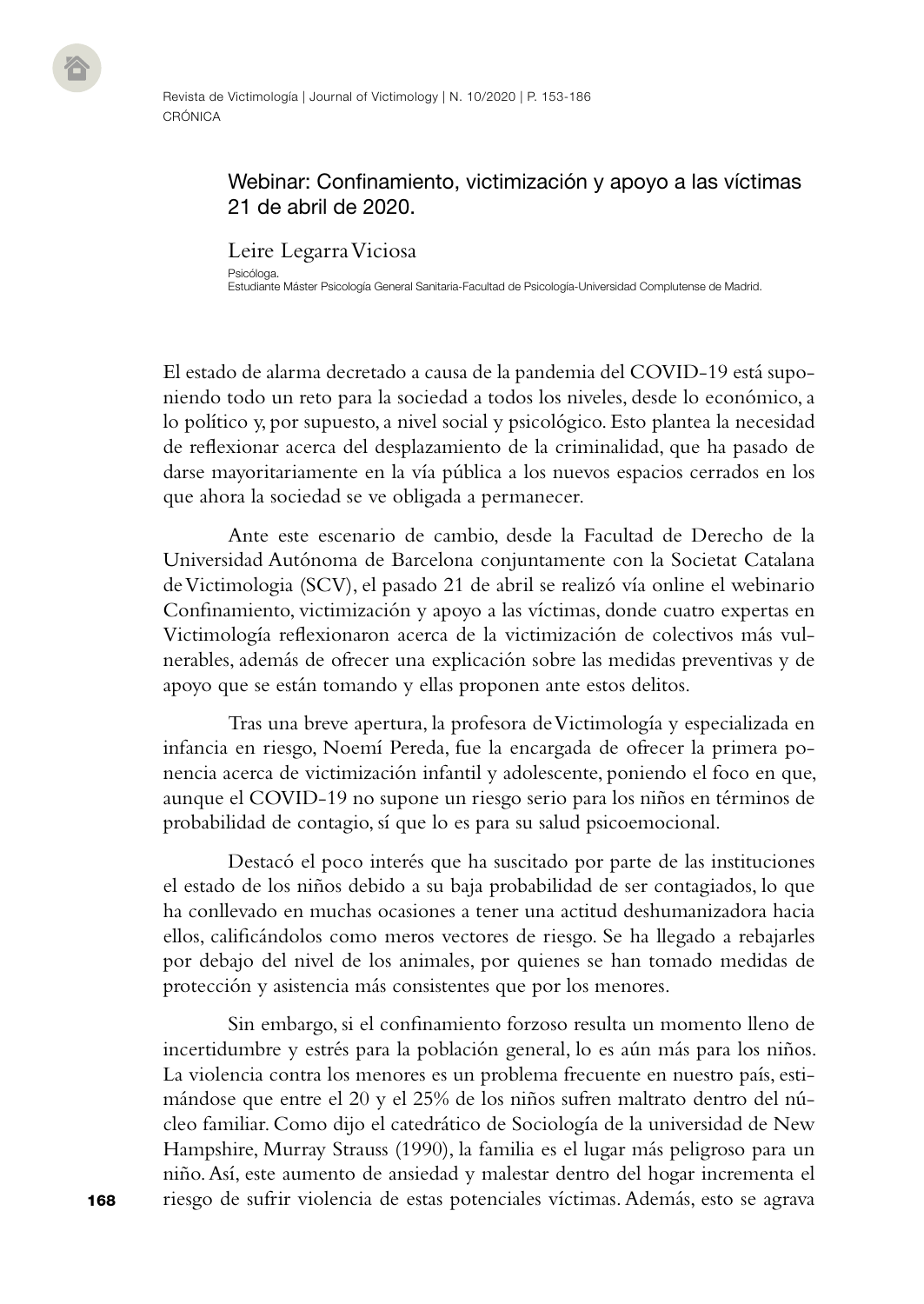## Webinar: Confinamiento, victimización y apoyo a las víctimas 21 de abril de 2020.

Leire Legarra Viciosa

Psicóloga. Estudiante Máster Psicología General Sanitaria-Facultad de Psicología-Universidad Complutense de Madrid.

El estado de alarma decretado a causa de la pandemia del COVID-19 está suponiendo todo un reto para la sociedad a todos los niveles, desde lo económico, a lo político y, por supuesto, a nivel social y psicológico. Esto plantea la necesidad de reflexionar acerca del desplazamiento de la criminalidad, que ha pasado de darse mayoritariamente en la vía pública a los nuevos espacios cerrados en los que ahora la sociedad se ve obligada a permanecer.

Ante este escenario de cambio, desde la Facultad de Derecho de la Universidad Autónoma de Barcelona conjuntamente con la Societat Catalana de Victimologia (SCV), el pasado 21 de abril se realizó vía online el webinario Confinamiento, victimización y apoyo a las víctimas, donde cuatro expertas en Victimología reflexionaron acerca de la victimización de colectivos más vulnerables, además de ofrecer una explicación sobre las medidas preventivas y de apoyo que se están tomando y ellas proponen ante estos delitos.

Tras una breve apertura, la profesora de Victimología y especializada en infancia en riesgo, Noemí Pereda, fue la encargada de ofrecer la primera ponencia acerca de victimización infantil y adolescente, poniendo el foco en que, aunque el COVID-19 no supone un riesgo serio para los niños en términos de probabilidad de contagio, sí que lo es para su salud psicoemocional.

Destacó el poco interés que ha suscitado por parte de las instituciones el estado de los niños debido a su baja probabilidad de ser contagiados, lo que ha conllevado en muchas ocasiones a tener una actitud deshumanizadora hacia ellos, calificándolos como meros vectores de riesgo. Se ha llegado a rebajarles por debajo del nivel de los animales, por quienes se han tomado medidas de protección y asistencia más consistentes que por los menores.

Sin embargo, si el confinamiento forzoso resulta un momento lleno de incertidumbre y estrés para la población general, lo es aún más para los niños. La violencia contra los menores es un problema frecuente en nuestro país, estimándose que entre el 20 y el 25% de los niños sufren maltrato dentro del núcleo familiar. Como dijo el catedrático de Sociología de la universidad de New Hampshire, Murray Strauss (1990), la familia es el lugar más peligroso para un niño. Así, este aumento de ansiedad y malestar dentro del hogar incrementa el riesgo de sufrir violencia de estas potenciales víctimas. Además, esto se agrava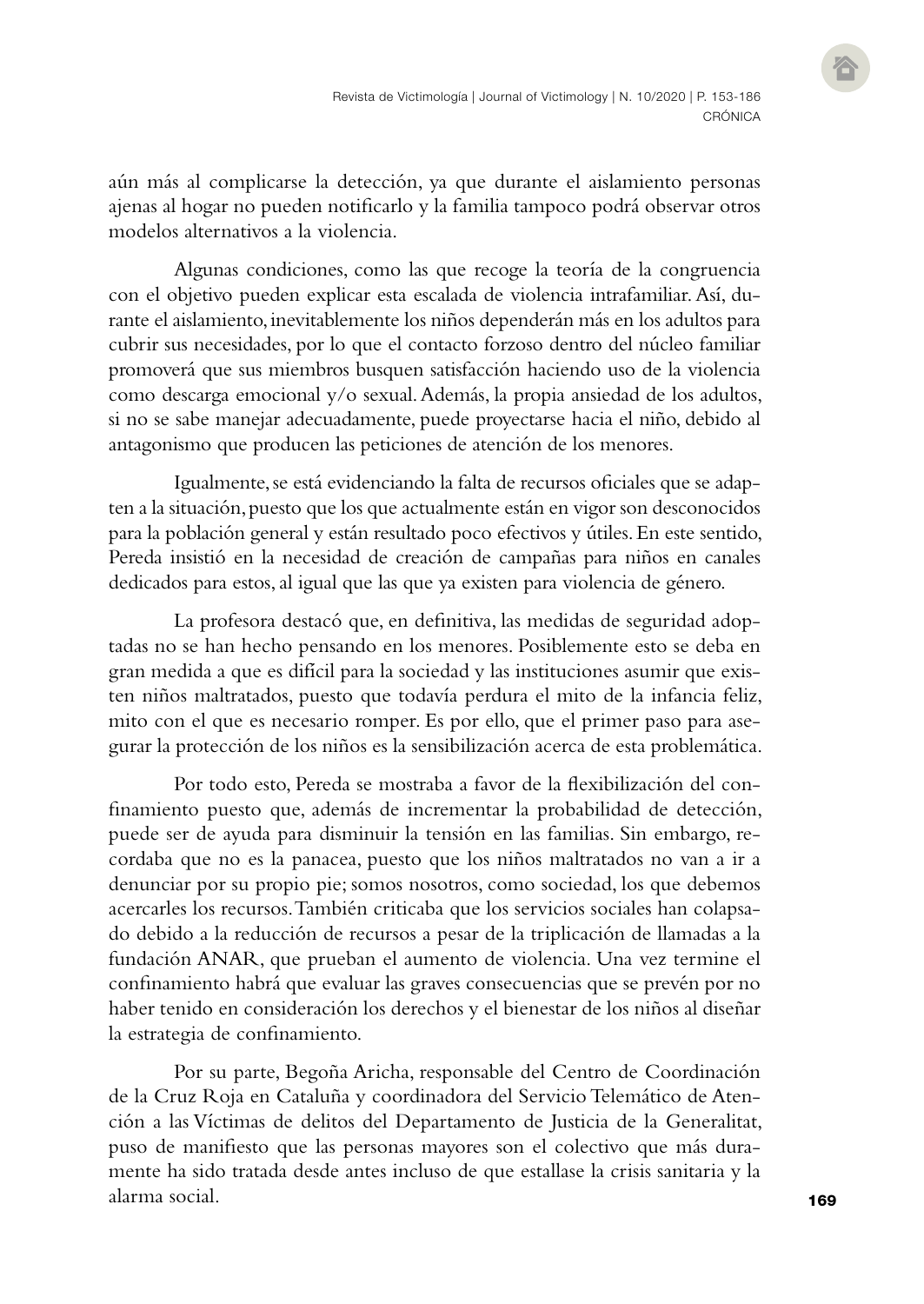aún más al complicarse la detección, ya que durante el aislamiento personas ajenas al hogar no pueden notificarlo y la familia tampoco podrá observar otros modelos alternativos a la violencia.

Algunas condiciones, como las que recoge la teoría de la congruencia con el objetivo pueden explicar esta escalada de violencia intrafamiliar. Así, durante el aislamiento, inevitablemente los niños dependerán más en los adultos para cubrir sus necesidades, por lo que el contacto forzoso dentro del núcleo familiar promoverá que sus miembros busquen satisfacción haciendo uso de la violencia como descarga emocional y/o sexual. Además, la propia ansiedad de los adultos, si no se sabe manejar adecuadamente, puede proyectarse hacia el niño, debido al antagonismo que producen las peticiones de atención de los menores.

Igualmente, se está evidenciando la falta de recursos oficiales que se adapten a la situación, puesto que los que actualmente están en vigor son desconocidos para la población general y están resultado poco efectivos y útiles. En este sentido, Pereda insistió en la necesidad de creación de campañas para niños en canales dedicados para estos, al igual que las que ya existen para violencia de género.

La profesora destacó que, en definitiva, las medidas de seguridad adoptadas no se han hecho pensando en los menores. Posiblemente esto se deba en gran medida a que es difícil para la sociedad y las instituciones asumir que existen niños maltratados, puesto que todavía perdura el mito de la infancia feliz, mito con el que es necesario romper. Es por ello, que el primer paso para asegurar la protección de los niños es la sensibilización acerca de esta problemática.

Por todo esto, Pereda se mostraba a favor de la flexibilización del confinamiento puesto que, además de incrementar la probabilidad de detección, puede ser de ayuda para disminuir la tensión en las familias. Sin embargo, recordaba que no es la panacea, puesto que los niños maltratados no van a ir a denunciar por su propio pie; somos nosotros, como sociedad, los que debemos acercarles los recursos. También criticaba que los servicios sociales han colapsado debido a la reducción de recursos a pesar de la triplicación de llamadas a la fundación ANAR, que prueban el aumento de violencia. Una vez termine el confinamiento habrá que evaluar las graves consecuencias que se prevén por no haber tenido en consideración los derechos y el bienestar de los niños al diseñar la estrategia de confinamiento.

Por su parte, Begoña Aricha, responsable del Centro de Coordinación de la Cruz Roja en Cataluña y coordinadora del Servicio Telemático de Atención a las Víctimas de delitos del Departamento de Justicia de la Generalitat, puso de manifiesto que las personas mayores son el colectivo que más duramente ha sido tratada desde antes incluso de que estallase la crisis sanitaria y la alarma social.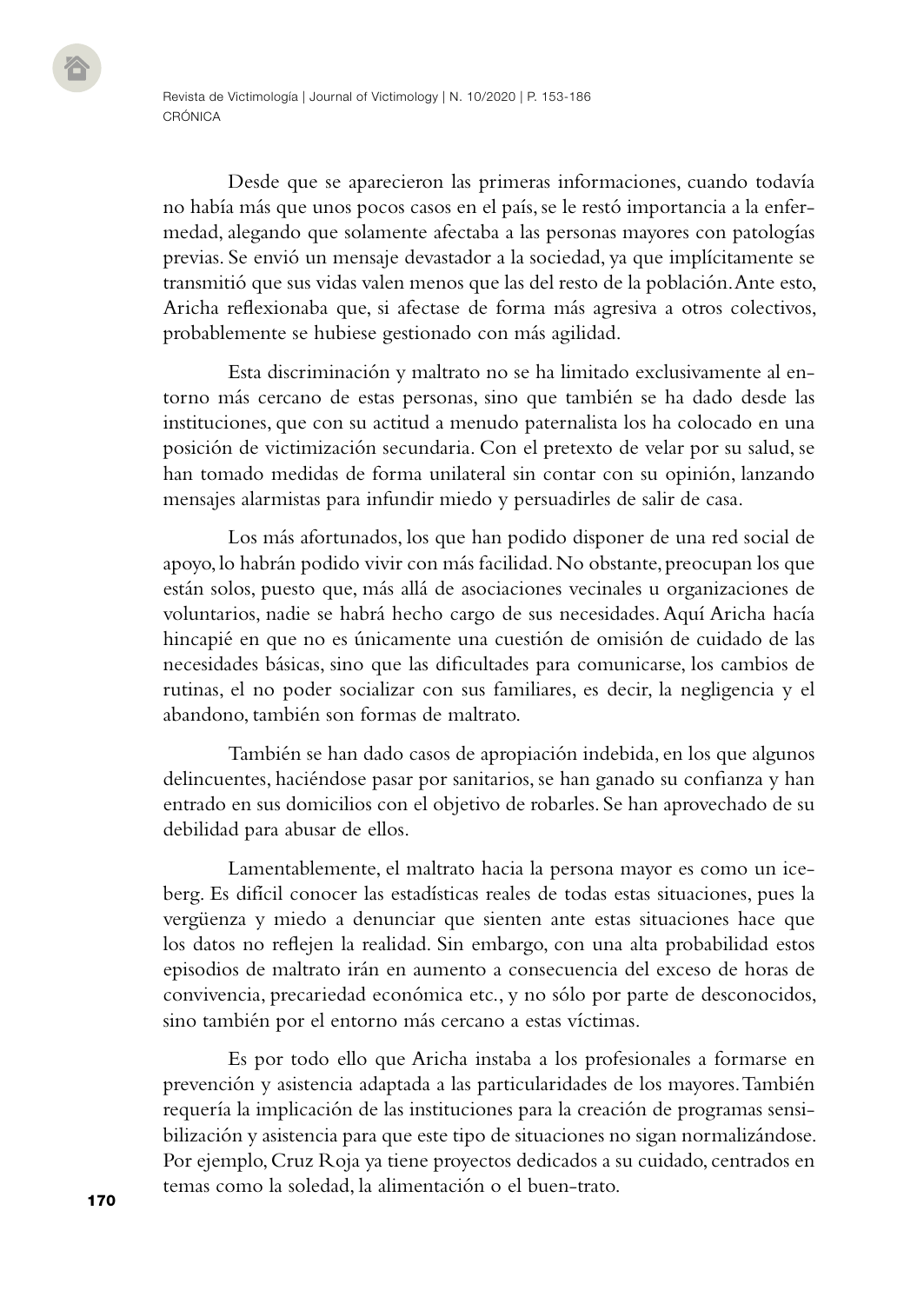Desde que se aparecieron las primeras informaciones, cuando todavía no había más que unos pocos casos en el país, se le restó importancia a la enfermedad, alegando que solamente afectaba a las personas mayores con patologías previas. Se envió un mensaje devastador a la sociedad, ya que implícitamente se transmitió que sus vidas valen menos que las del resto de la población. Ante esto, Aricha reflexionaba que, si afectase de forma más agresiva a otros colectivos, probablemente se hubiese gestionado con más agilidad.

Esta discriminación y maltrato no se ha limitado exclusivamente al entorno más cercano de estas personas, sino que también se ha dado desde las instituciones, que con su actitud a menudo paternalista los ha colocado en una posición de victimización secundaria. Con el pretexto de velar por su salud, se han tomado medidas de forma unilateral sin contar con su opinión, lanzando mensajes alarmistas para infundir miedo y persuadirles de salir de casa.

Los más afortunados, los que han podido disponer de una red social de apoyo, lo habrán podido vivir con más facilidad. No obstante, preocupan los que están solos, puesto que, más allá de asociaciones vecinales u organizaciones de voluntarios, nadie se habrá hecho cargo de sus necesidades. Aquí Aricha hacía hincapié en que no es únicamente una cuestión de omisión de cuidado de las necesidades básicas, sino que las dificultades para comunicarse, los cambios de rutinas, el no poder socializar con sus familiares, es decir, la negligencia y el abandono, también son formas de maltrato.

También se han dado casos de apropiación indebida, en los que algunos delincuentes, haciéndose pasar por sanitarios, se han ganado su confianza y han entrado en sus domicilios con el objetivo de robarles. Se han aprovechado de su debilidad para abusar de ellos.

Lamentablemente, el maltrato hacia la persona mayor es como un iceberg. Es difícil conocer las estadísticas reales de todas estas situaciones, pues la vergüenza y miedo a denunciar que sienten ante estas situaciones hace que los datos no reflejen la realidad. Sin embargo, con una alta probabilidad estos episodios de maltrato irán en aumento a consecuencia del exceso de horas de convivencia, precariedad económica etc., y no sólo por parte de desconocidos, sino también por el entorno más cercano a estas víctimas.

Es por todo ello que Aricha instaba a los profesionales a formarse en prevención y asistencia adaptada a las particularidades de los mayores. También requería la implicación de las instituciones para la creación de programas sensibilización y asistencia para que este tipo de situaciones no sigan normalizándose. Por ejemplo, Cruz Roja ya tiene proyectos dedicados a su cuidado, centrados en temas como la soledad, la alimentación o el buen-trato.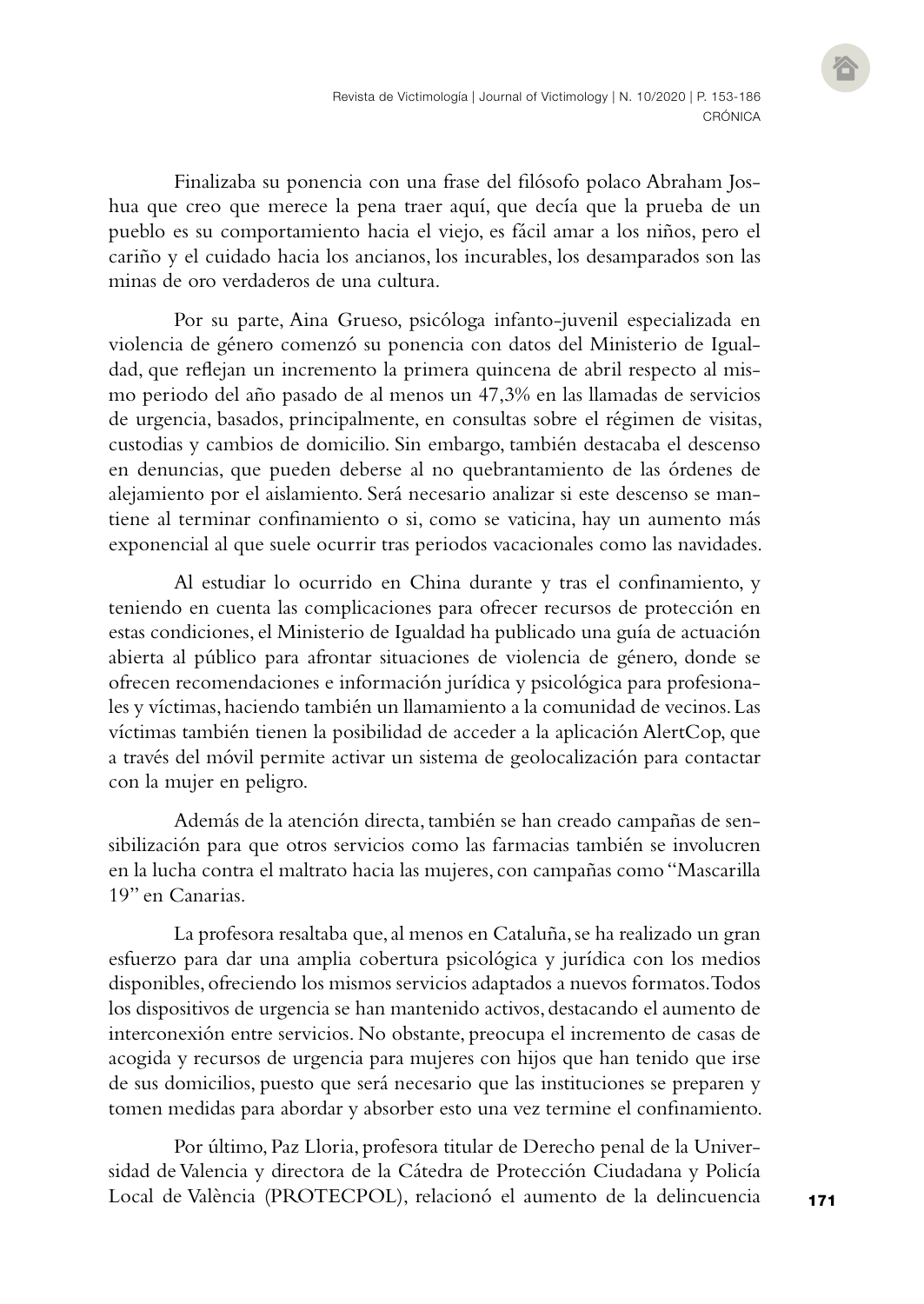Finalizaba su ponencia con una frase del filósofo polaco Abraham Joshua que creo que merece la pena traer aquí, que decía que la prueba de un pueblo es su comportamiento hacia el viejo, es fácil amar a los niños, pero el cariño y el cuidado hacia los ancianos, los incurables, los desamparados son las minas de oro verdaderos de una cultura.

Por su parte, Aina Grueso, psicóloga infanto-juvenil especializada en violencia de género comenzó su ponencia con datos del Ministerio de Igualdad, que reflejan un incremento la primera quincena de abril respecto al mismo periodo del año pasado de al menos un 47,3% en las llamadas de servicios de urgencia, basados, principalmente, en consultas sobre el régimen de visitas, custodias y cambios de domicilio. Sin embargo, también destacaba el descenso en denuncias, que pueden deberse al no quebrantamiento de las órdenes de alejamiento por el aislamiento. Será necesario analizar si este descenso se mantiene al terminar confinamiento o si, como se vaticina, hay un aumento más exponencial al que suele ocurrir tras periodos vacacionales como las navidades.

Al estudiar lo ocurrido en China durante y tras el confinamiento, y teniendo en cuenta las complicaciones para ofrecer recursos de protección en estas condiciones, el Ministerio de Igualdad ha publicado una guía de actuación abierta al público para afrontar situaciones de violencia de género, donde se ofrecen recomendaciones e información jurídica y psicológica para profesionales y víctimas, haciendo también un llamamiento a la comunidad de vecinos. Las víctimas también tienen la posibilidad de acceder a la aplicación AlertCop, que a través del móvil permite activar un sistema de geolocalización para contactar con la mujer en peligro.

Además de la atención directa, también se han creado campañas de sensibilización para que otros servicios como las farmacias también se involucren en la lucha contra el maltrato hacia las mujeres, con campañas como "Mascarilla 19" en Canarias.

La profesora resaltaba que, al menos en Cataluña, se ha realizado un gran esfuerzo para dar una amplia cobertura psicológica y jurídica con los medios disponibles, ofreciendo los mismos servicios adaptados a nuevos formatos. Todos los dispositivos de urgencia se han mantenido activos, destacando el aumento de interconexión entre servicios. No obstante, preocupa el incremento de casas de acogida y recursos de urgencia para mujeres con hijos que han tenido que irse de sus domicilios, puesto que será necesario que las instituciones se preparen y tomen medidas para abordar y absorber esto una vez termine el confinamiento.

Por último, Paz Lloria, profesora titular de Derecho penal de la Universidad de Valencia y directora de la Cátedra de Protección Ciudadana y Policía Local de València (PROTECPOL), relacionó el aumento de la delincuencia

171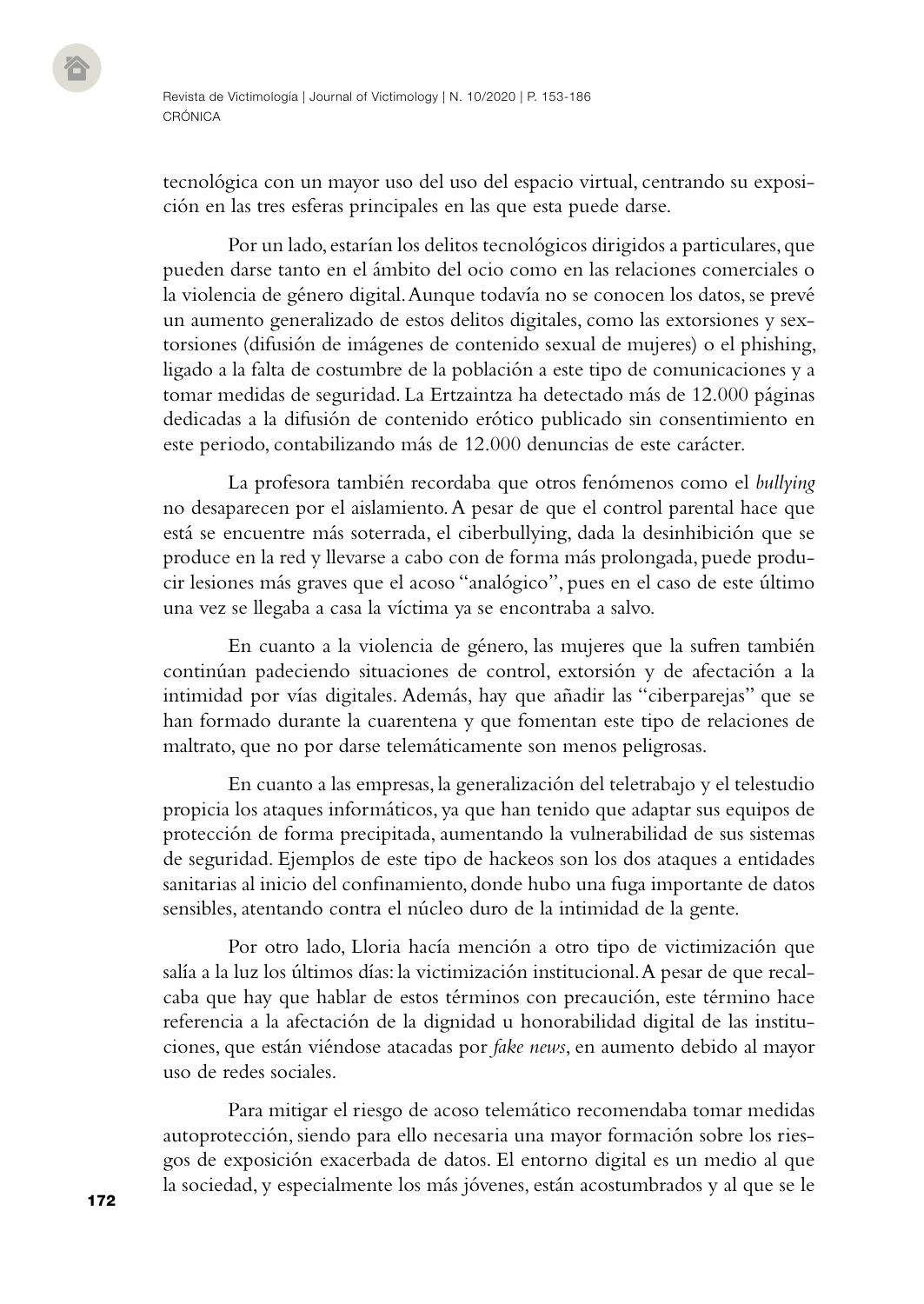tecnológica con un mayor uso del uso del espacio virtual, centrando su exposición en las tres esferas principales en las que esta puede darse.

Por un lado, estarían los delitos tecnológicos dirigidos a particulares, que pueden darse tanto en el ámbito del ocio como en las relaciones comerciales o la violencia de género digital. Aunque todavía no se conocen los datos, se prevé un aumento generalizado de estos delitos digitales, como las extorsiones y sextorsiones (difusión de imágenes de contenido sexual de mujeres) o el phishing, ligado a la falta de costumbre de la población a este tipo de comunicaciones y a tomar medidas de seguridad. La Ertzaintza ha detectado más de 12.000 páginas dedicadas a la difusión de contenido erótico publicado sin consentimiento en este periodo, contabilizando más de 12.000 denuncias de este carácter.

La profesora también recordaba que otros fenómenos como el *bullying* no desaparecen por el aislamiento. A pesar de que el control parental hace que está se encuentre más soterrada, el ciberbullying, dada la desinhibición que se produce en la red y llevarse a cabo con de forma más prolongada, puede producir lesiones más graves que el acoso "analógico", pues en el caso de este último una vez se llegaba a casa la víctima ya se encontraba a salvo.

En cuanto a la violencia de género, las mujeres que la sufren también continúan padeciendo situaciones de control, extorsión y de afectación a la intimidad por vías digitales. Además, hay que añadir las "ciberparejas" que se han formado durante la cuarentena y que fomentan este tipo de relaciones de maltrato, que no por darse telemáticamente son menos peligrosas.

En cuanto a las empresas, la generalización del teletrabajo y el telestudio propicia los ataques informáticos, ya que han tenido que adaptar sus equipos de protección de forma precipitada, aumentando la vulnerabilidad de sus sistemas de seguridad. Ejemplos de este tipo de hackeos son los dos ataques a entidades sanitarias al inicio del confinamiento, donde hubo una fuga importante de datos sensibles, atentando contra el núcleo duro de la intimidad de la gente.

Por otro lado, Lloria hacía mención a otro tipo de victimización que salía a la luz los últimos días: la victimización institucional. A pesar de que recalcaba que hay que hablar de estos términos con precaución, este término hace referencia a la afectación de la dignidad u honorabilidad digital de las instituciones, que están viéndose atacadas por *fake news*, en aumento debido al mayor uso de redes sociales.

Para mitigar el riesgo de acoso telemático recomendaba tomar medidas autoprotección, siendo para ello necesaria una mayor formación sobre los riesgos de exposición exacerbada de datos. El entorno digital es un medio al que la sociedad, y especialmente los más jóvenes, están acostumbrados y al que se le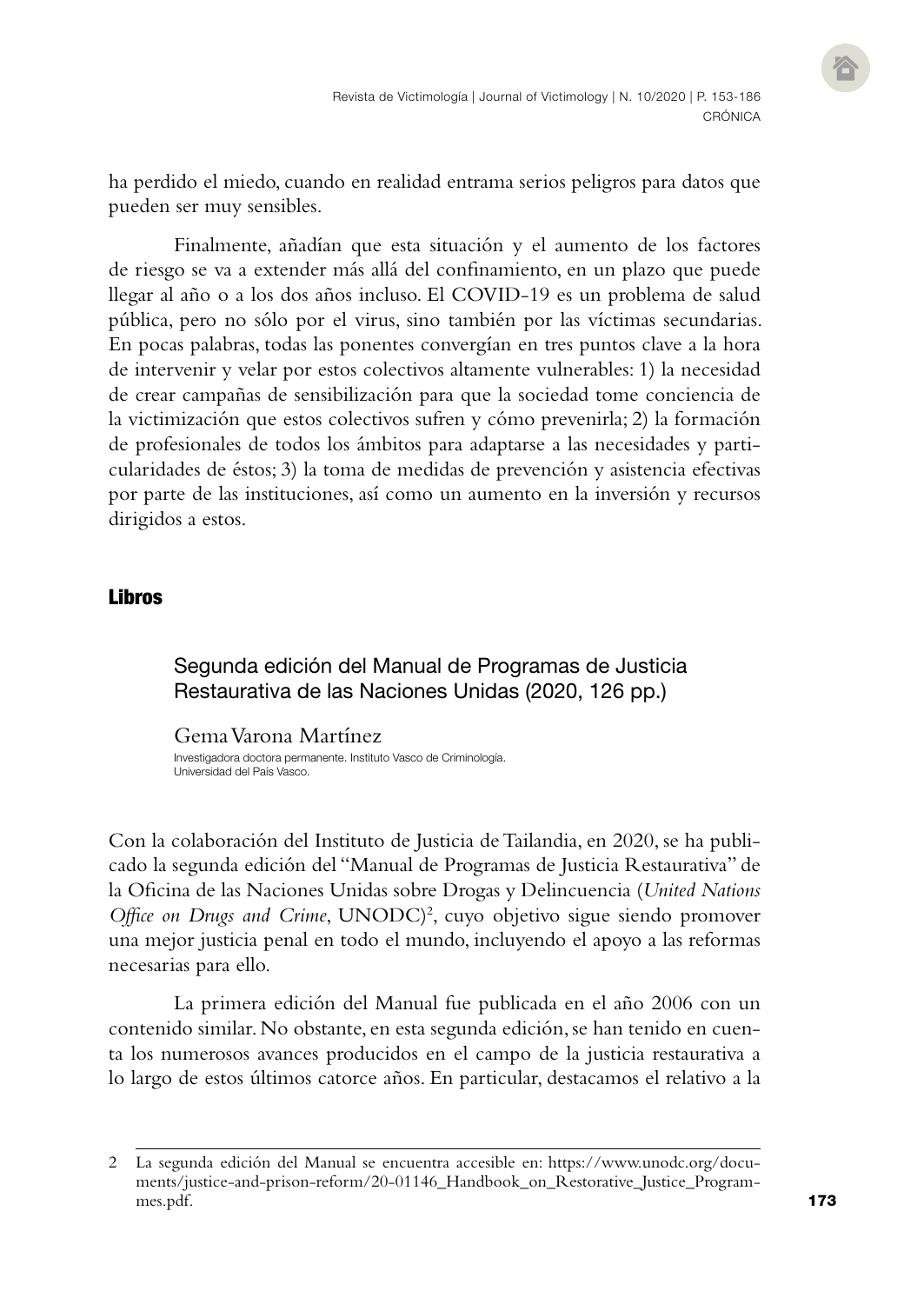ha perdido el miedo, cuando en realidad entrama serios peligros para datos que pueden ser muy sensibles.

Finalmente, añadían que esta situación y el aumento de los factores de riesgo se va a extender más allá del confinamiento, en un plazo que puede llegar al año o a los dos años incluso. El COVID-19 es un problema de salud pública, pero no sólo por el virus, sino también por las víctimas secundarias. En pocas palabras, todas las ponentes convergían en tres puntos clave a la hora de intervenir y velar por estos colectivos altamente vulnerables: 1) la necesidad de crear campañas de sensibilización para que la sociedad tome conciencia de la victimización que estos colectivos sufren y cómo prevenirla; 2) la formación de profesionales de todos los ámbitos para adaptarse a las necesidades y particularidades de éstos; 3) la toma de medidas de prevención y asistencia efectivas por parte de las instituciones, así como un aumento en la inversión y recursos dirigidos a estos.

## Libros

## Segunda edición del Manual de Programas de Justicia Restaurativa de las Naciones Unidas (2020, 126 pp.)

Gema Varona Martínez Investigadora doctora permanente. Instituto Vasco de Criminología. Universidad del País Vasco.

Con la colaboración del Instituto de Justicia de Tailandia, en 2020, se ha publicado la segunda edición del "Manual de Programas de Justicia Restaurativa" de la Oficina de las Naciones Unidas sobre Drogas y Delincuencia (*United Nations*  Office on Drugs and Crime, UNODC)<sup>2</sup>, cuyo objetivo sigue siendo promover una mejor justicia penal en todo el mundo, incluyendo el apoyo a las reformas necesarias para ello.

La primera edición del Manual fue publicada en el año 2006 con un contenido similar. No obstante, en esta segunda edición, se han tenido en cuenta los numerosos avances producidos en el campo de la justicia restaurativa a lo largo de estos últimos catorce años. En particular, destacamos el relativo a la

<sup>2</sup> La segunda edición del Manual se encuentra accesible en: [https://www.unodc.org/docu](https://www.unodc.org/documents/justice-and-prison-reform/20-01146_Handbook_on_Restorative_Justice_Programmes.pdf)[ments/justice-and-prison-reform/20-01146\\_Handbook\\_on\\_Restorative\\_Justice\\_Program](https://www.unodc.org/documents/justice-and-prison-reform/20-01146_Handbook_on_Restorative_Justice_Programmes.pdf)[mes.pdf.](https://www.unodc.org/documents/justice-and-prison-reform/20-01146_Handbook_on_Restorative_Justice_Programmes.pdf)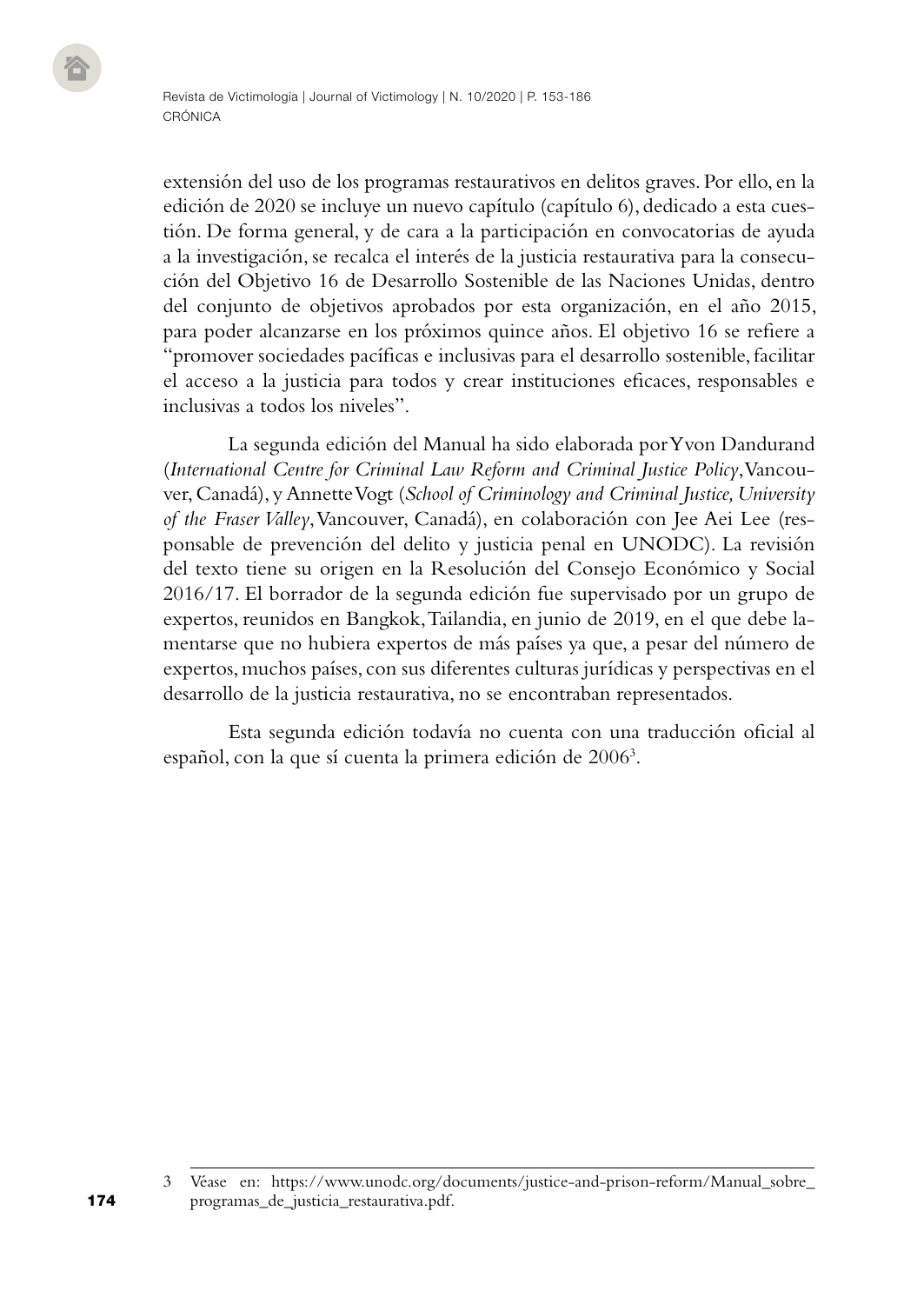extensión del uso de los programas restaurativos en delitos graves. Por ello, en la edición de 2020 se incluye un nuevo capítulo (capítulo 6), dedicado a esta cuestión. De forma general, y de cara a la participación en convocatorias de ayuda a la investigación, se recalca el interés de la justicia restaurativa para la consecución del Objetivo 16 de Desarrollo Sostenible de las Naciones Unidas, dentro del conjunto de objetivos aprobados por esta organización, en el año 2015, para poder alcanzarse en los próximos quince años. El objetivo 16 se refiere a "promover sociedades pacíficas e inclusivas para el desarrollo sostenible, facilitar el acceso a la justicia para todos y crear instituciones eficaces, responsables e inclusivas a todos los niveles".

La segunda edición del Manual ha sido elaborada por Yvon Dandurand (*International Centre for Criminal Law Reform and Criminal Justice Policy*, Vancouver, Canadá), y Annette Vogt (*School of Criminology and Criminal Justice, University of the Fraser Valley*, Vancouver, Canadá), en colaboración con Jee Aei Lee (responsable de prevención del delito y justicia penal en UNODC). La revisión del texto tiene su origen en la Resolución del Consejo Económico y Social 2016/17. El borrador de la segunda edición fue supervisado por un grupo de expertos, reunidos en Bangkok, Tailandia, en junio de 2019, en el que debe lamentarse que no hubiera expertos de más países ya que, a pesar del número de expertos, muchos países, con sus diferentes culturas jurídicas y perspectivas en el desarrollo de la justicia restaurativa, no se encontraban representados.

Esta segunda edición todavía no cuenta con una traducción oficial al español, con la que sí cuenta la primera edición de 2006<sup>3</sup>.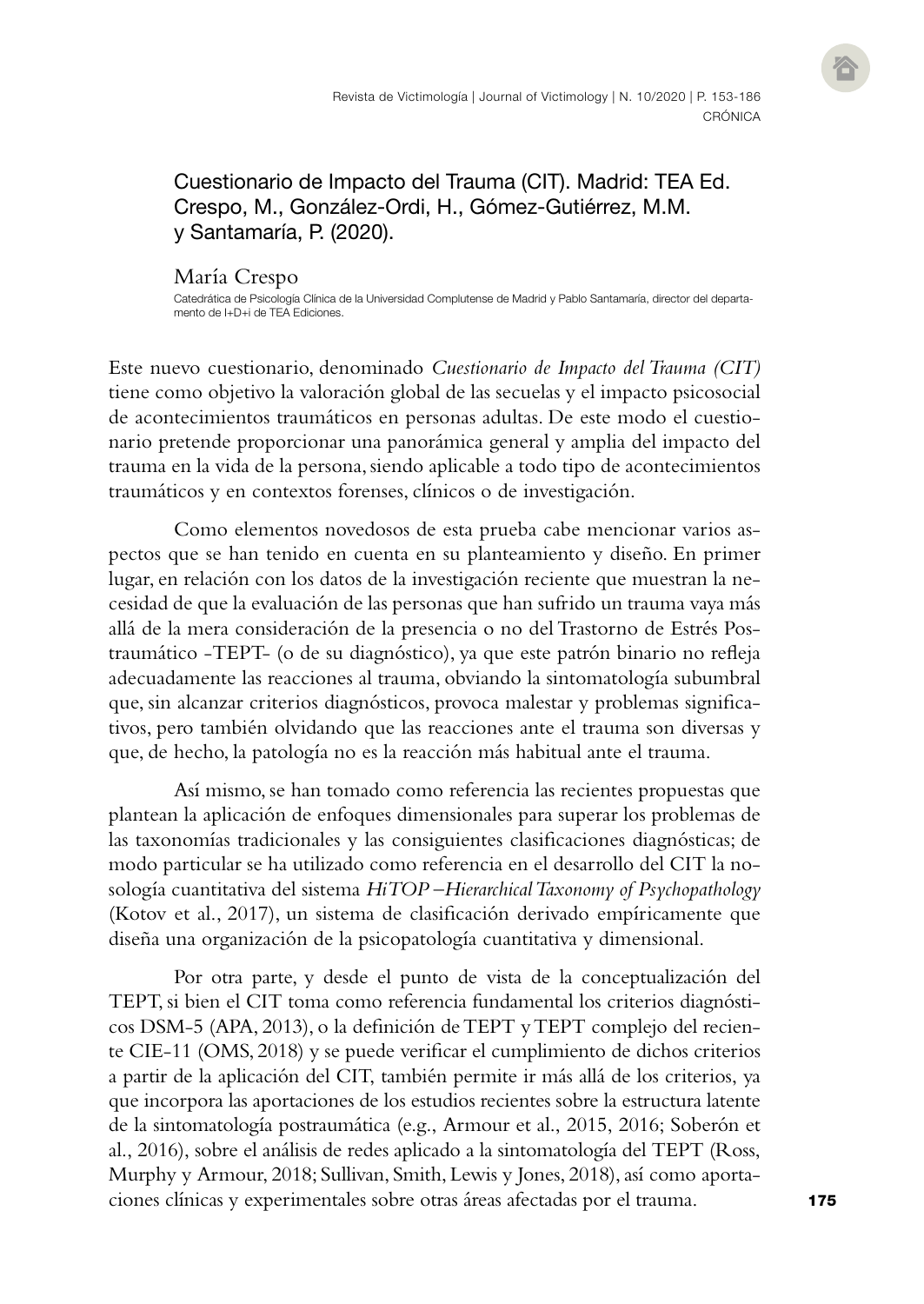Cuestionario de Impacto del Trauma (CIT). Madrid: TEA Ed. Crespo, M., González-Ordi, H., Gómez-Gutiérrez, M.M. y Santamaría, P. (2020).

#### María Crespo

Catedrática de Psicología Clínica de la Universidad Complutense de Madrid y Pablo Santamaría, director del departamento de I+D+i de TFA Fdiciones.

Este nuevo cuestionario, denominado *Cuestionario de Impacto del Trauma (CIT)* tiene como objetivo la valoración global de las secuelas y el impacto psicosocial de acontecimientos traumáticos en personas adultas. De este modo el cuestionario pretende proporcionar una panorámica general y amplia del impacto del trauma en la vida de la persona, siendo aplicable a todo tipo de acontecimientos traumáticos y en contextos forenses, clínicos o de investigación.

Como elementos novedosos de esta prueba cabe mencionar varios aspectos que se han tenido en cuenta en su planteamiento y diseño. En primer lugar, en relación con los datos de la investigación reciente que muestran la necesidad de que la evaluación de las personas que han sufrido un trauma vaya más allá de la mera consideración de la presencia o no del Trastorno de Estrés Postraumático -TEPT- (o de su diagnóstico), ya que este patrón binario no refleja adecuadamente las reacciones al trauma, obviando la sintomatología subumbral que, sin alcanzar criterios diagnósticos, provoca malestar y problemas significativos, pero también olvidando que las reacciones ante el trauma son diversas y que, de hecho, la patología no es la reacción más habitual ante el trauma.

Así mismo, se han tomado como referencia las recientes propuestas que plantean la aplicación de enfoques dimensionales para superar los problemas de las taxonomías tradicionales y las consiguientes clasificaciones diagnósticas; de modo particular se ha utilizado como referencia en el desarrollo del CIT la nosología cuantitativa del sistema *HiTOP –Hierarchical Taxonomy of Psychopathology* (Kotov et al., 2017), un sistema de clasificación derivado empíricamente que diseña una organización de la psicopatología cuantitativa y dimensional.

Por otra parte, y desde el punto de vista de la conceptualización del TEPT, si bien el CIT toma como referencia fundamental los criterios diagnósticos DSM-5 (APA, 2013), o la definición de TEPT y TEPT complejo del reciente CIE-11 (OMS, 2018) y se puede verificar el cumplimiento de dichos criterios a partir de la aplicación del CIT, también permite ir más allá de los criterios, ya que incorpora las aportaciones de los estudios recientes sobre la estructura latente de la sintomatología postraumática (e.g., Armour et al., 2015, 2016; Soberón et al., 2016), sobre el análisis de redes aplicado a la sintomatología del TEPT (Ross, Murphy y Armour, 2018; Sullivan, Smith, Lewis y Jones, 2018), así como aportaciones clínicas y experimentales sobre otras áreas afectadas por el trauma.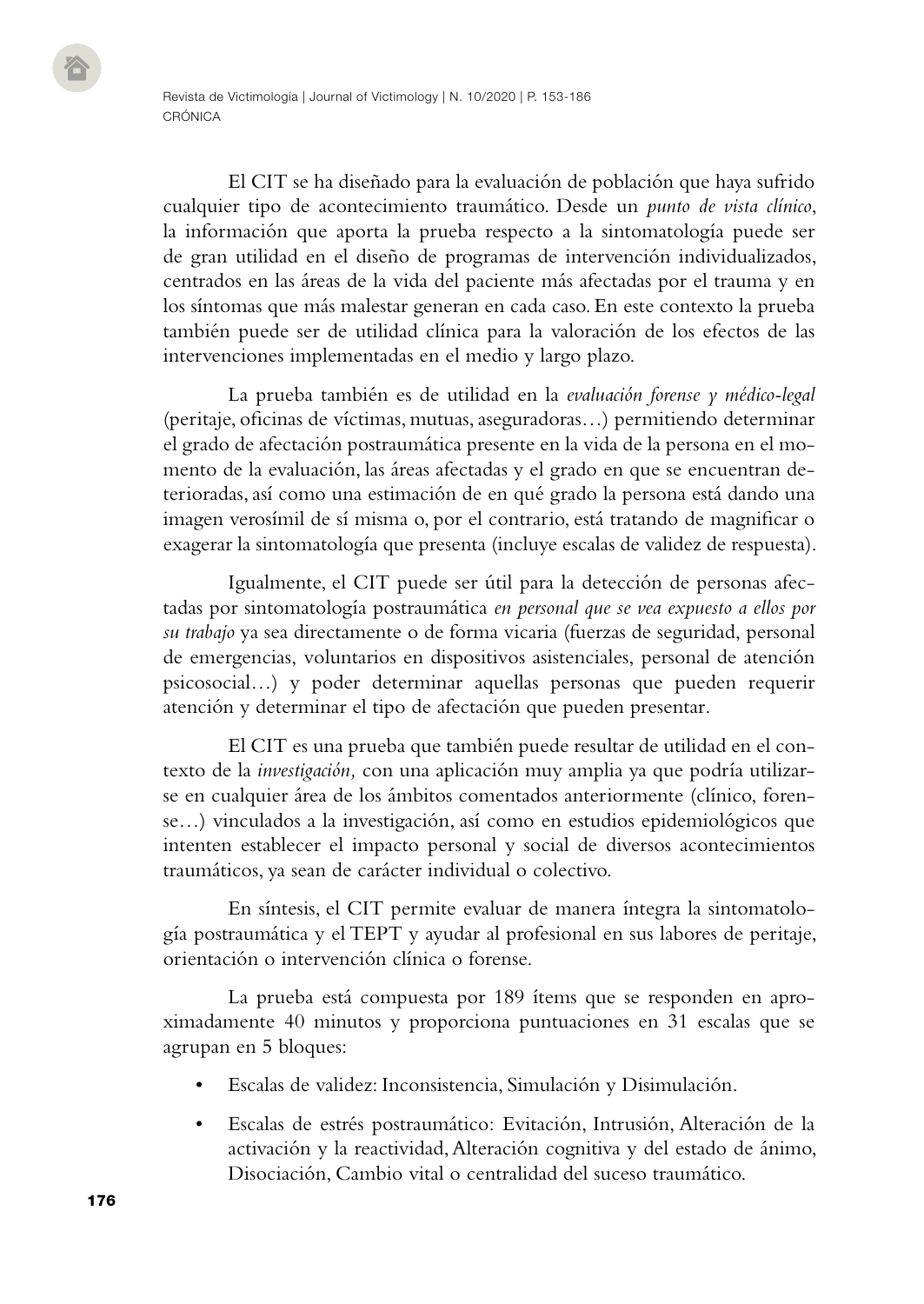El CIT se ha diseñado para la evaluación de población que haya sufrido cualquier tipo de acontecimiento traumático. Desde un *punto de vista clínico*, la información que aporta la prueba respecto a la sintomatología puede ser de gran utilidad en el diseño de programas de intervención individualizados, centrados en las áreas de la vida del paciente más afectadas por el trauma y en los síntomas que más malestar generan en cada caso. En este contexto la prueba también puede ser de utilidad clínica para la valoración de los efectos de las intervenciones implementadas en el medio y largo plazo.

La prueba también es de utilidad en la *evaluación forense y médico-legal* (peritaje, oficinas de víctimas, mutuas, aseguradoras…) permitiendo determinar el grado de afectación postraumática presente en la vida de la persona en el momento de la evaluación, las áreas afectadas y el grado en que se encuentran deterioradas, así como una estimación de en qué grado la persona está dando una imagen verosímil de sí misma o, por el contrario, está tratando de magnificar o exagerar la sintomatología que presenta (incluye escalas de validez de respuesta).

Igualmente, el CIT puede ser útil para la detección de personas afectadas por sintomatología postraumática *en personal que se vea expuesto a ellos por su trabajo* ya sea directamente o de forma vicaria (fuerzas de seguridad, personal de emergencias, voluntarios en dispositivos asistenciales, personal de atención psicosocial…) y poder determinar aquellas personas que pueden requerir atención y determinar el tipo de afectación que pueden presentar.

El CIT es una prueba que también puede resultar de utilidad en el contexto de la *investigación,* con una aplicación muy amplia ya que podría utilizarse en cualquier área de los ámbitos comentados anteriormente (clínico, forense…) vinculados a la investigación, así como en estudios epidemiológicos que intenten establecer el impacto personal y social de diversos acontecimientos traumáticos, ya sean de carácter individual o colectivo.

En síntesis, el CIT permite evaluar de manera íntegra la sintomatología postraumática y el TEPT y ayudar al profesional en sus labores de peritaje, orientación o intervención clínica o forense.

La prueba está compuesta por 189 ítems que se responden en aproximadamente 40 minutos y proporciona puntuaciones en 31 escalas que se agrupan en 5 bloques:

- Escalas de validez: Inconsistencia, Simulación y Disimulación.
- Escalas de estrés postraumático: Evitación, Intrusión, Alteración de la activación y la reactividad, Alteración cognitiva y del estado de ánimo, Disociación, Cambio vital o centralidad del suceso traumático.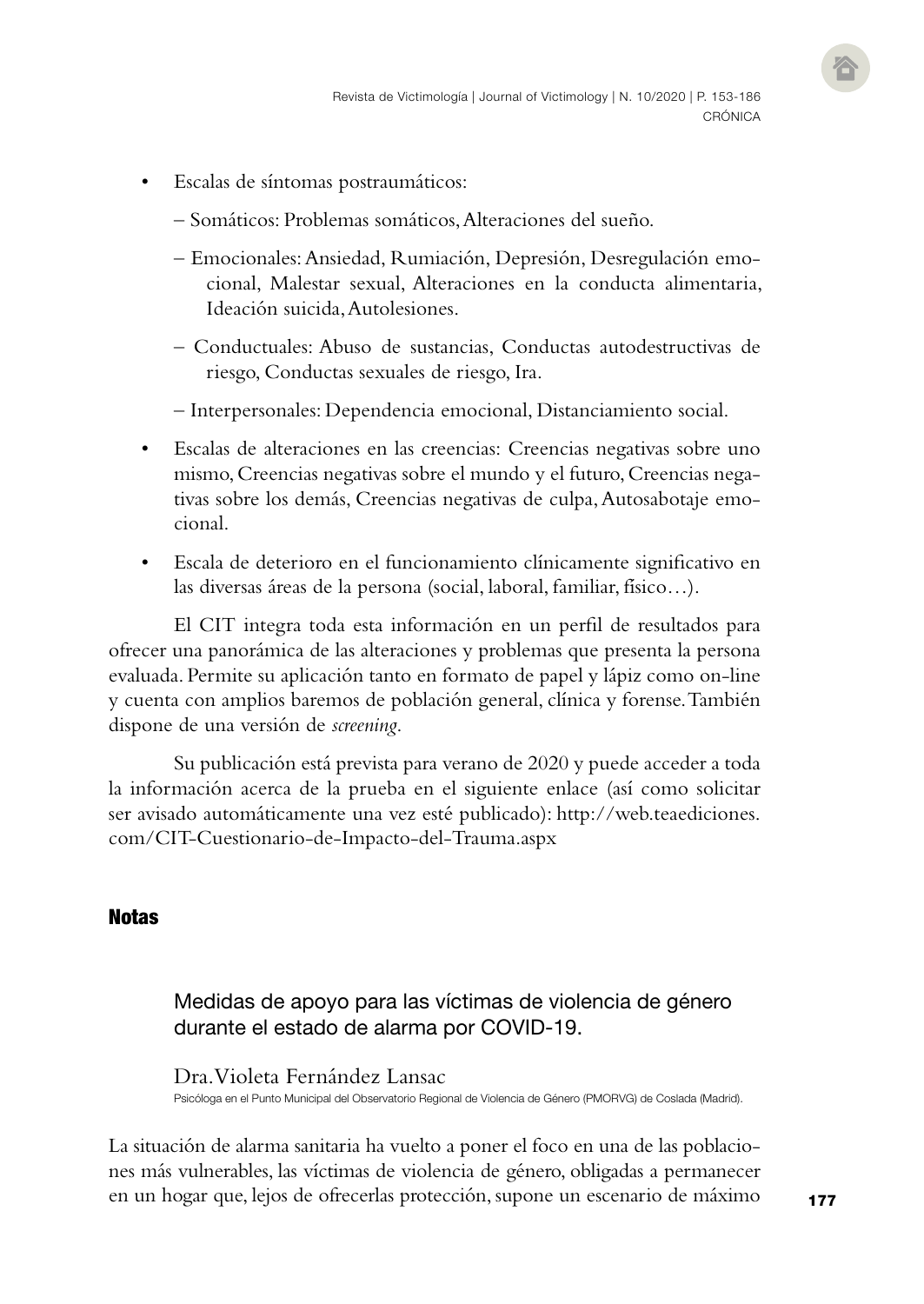- Escalas de síntomas postraumáticos:
	- Somáticos: Problemas somáticos, Alteraciones del sueño.
	- Emocionales: Ansiedad, Rumiación, Depresión, Desregulación emocional, Malestar sexual, Alteraciones en la conducta alimentaria, Ideación suicida, Autolesiones.
	- Conductuales: Abuso de sustancias, Conductas autodestructivas de riesgo, Conductas sexuales de riesgo, Ira.
	- Interpersonales: Dependencia emocional, Distanciamiento social.
- Escalas de alteraciones en las creencias: Creencias negativas sobre uno mismo, Creencias negativas sobre el mundo y el futuro, Creencias negativas sobre los demás, Creencias negativas de culpa, Autosabotaje emocional.
- Escala de deterioro en el funcionamiento clínicamente significativo en las diversas áreas de la persona (social, laboral, familiar, físico…).

El CIT integra toda esta información en un perfil de resultados para ofrecer una panorámica de las alteraciones y problemas que presenta la persona evaluada. Permite su aplicación tanto en formato de papel y lápiz como on-line y cuenta con amplios baremos de población general, clínica y forense. También dispone de una versión de *screening*.

Su publicación está prevista para verano de 2020 y puede acceder a toda la información acerca de la prueba en el siguiente enlace (así como solicitar ser avisado automáticamente una vez esté publicado): [http://web.teaediciones.](http://web.teaediciones.com/CIT-Cuestionario-de-Impacto-del-Trauma.aspx) [com/CIT-Cuestionario-de-Impacto-del-Trauma.aspx](http://web.teaediciones.com/CIT-Cuestionario-de-Impacto-del-Trauma.aspx)

#### **Notas**

## Medidas de apoyo para las víctimas de violencia de género durante el estado de alarma por COVID-19.

Dra. Violeta Fernández Lansac Psicóloga en el Punto Municipal del Observatorio Regional de Violencia de Género (PMORVG) de Coslada (Madrid).

La situación de alarma sanitaria ha vuelto a poner el foco en una de las poblaciones más vulnerables, las víctimas de violencia de género, obligadas a permanecer en un hogar que, lejos de ofrecerlas protección, supone un escenario de máximo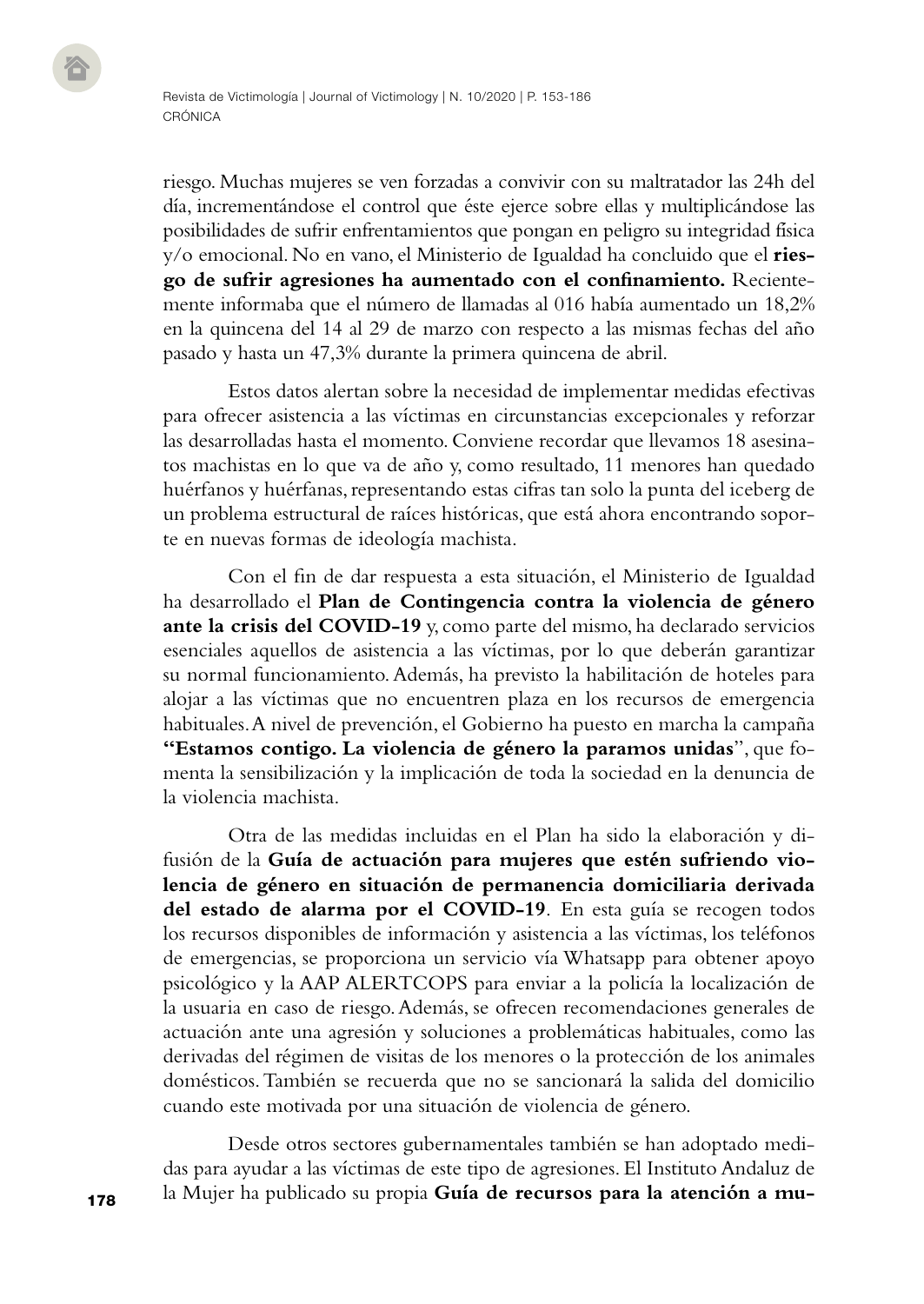riesgo. Muchas mujeres se ven forzadas a convivir con su maltratador las 24h del día, incrementándose el control que éste ejerce sobre ellas y multiplicándose las posibilidades de sufrir enfrentamientos que pongan en peligro su integridad física y/o emocional. No en vano, el Ministerio de Igualdad ha concluido que el **riesgo de sufrir agresiones ha aumentado con el confinamiento.** Recientemente informaba que el número de llamadas al 016 había aumentado un 18,2% en la quincena del 14 al 29 de marzo con respecto a las mismas fechas del año pasado y hasta un 47,3% durante la primera quincena de abril.

Estos datos alertan sobre la necesidad de implementar medidas efectivas para ofrecer asistencia a las víctimas en circunstancias excepcionales y reforzar las desarrolladas hasta el momento. Conviene recordar que llevamos 18 asesinatos machistas en lo que va de año y, como resultado, 11 menores han quedado huérfanos y huérfanas, representando estas cifras tan solo la punta del iceberg de un problema estructural de raíces históricas, que está ahora encontrando soporte en nuevas formas de ideología machista.

Con el fin de dar respuesta a esta situación, el Ministerio de Igualdad ha desarrollado el **Plan de Contingencia contra la violencia de género ante la crisis del COVID-19** y, como parte del mismo, ha declarado servicios esenciales aquellos de asistencia a las víctimas, por lo que deberán garantizar su normal funcionamiento. Además, ha previsto la habilitación de hoteles para alojar a las víctimas que no encuentren plaza en los recursos de emergencia habituales. A nivel de prevención, el Gobierno ha puesto en marcha la campaña **"Estamos contigo. La violencia de género la paramos unidas**", que fomenta la sensibilización y la implicación de toda la sociedad en la denuncia de la violencia machista.

Otra de las medidas incluidas en el Plan ha sido la elaboración y difusión de la **Guía de actuación para mujeres que estén sufriendo violencia de género en situación de permanencia domiciliaria derivada del estado de alarma por el COVID-19**. En esta guía se recogen todos los recursos disponibles de información y asistencia a las víctimas, los teléfonos de emergencias, se proporciona un servicio vía Whatsapp para obtener apoyo psicológico y la AAP ALERTCOPS para enviar a la policía la localización de la usuaria en caso de riesgo. Además, se ofrecen recomendaciones generales de actuación ante una agresión y soluciones a problemáticas habituales, como las derivadas del régimen de visitas de los menores o la protección de los animales domésticos. También se recuerda que no se sancionará la salida del domicilio cuando este motivada por una situación de violencia de género.

Desde otros sectores gubernamentales también se han adoptado medidas para ayudar a las víctimas de este tipo de agresiones. El Instituto Andaluz de la Mujer ha publicado su propia **Guía de recursos para la atención a mu-**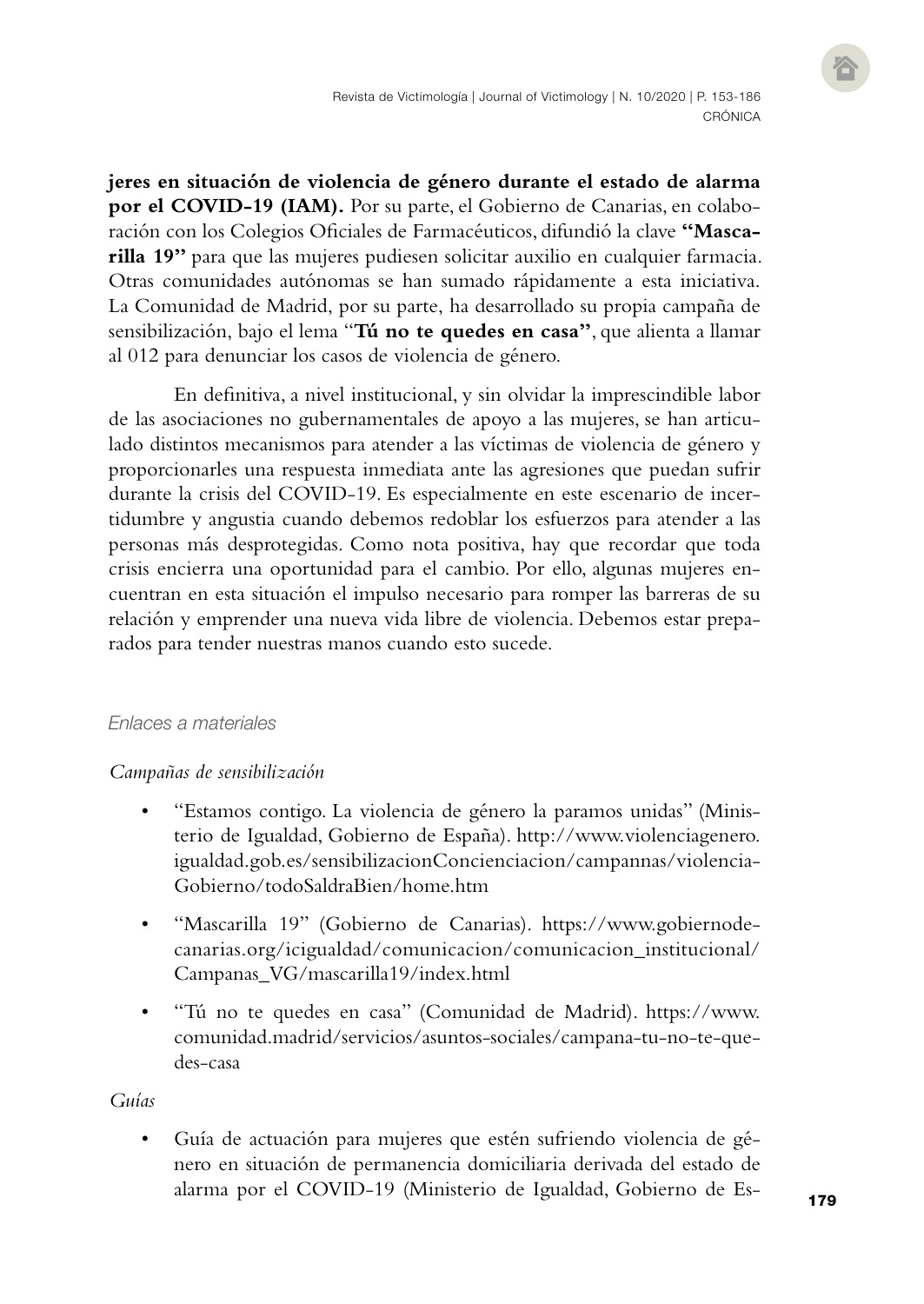**jeres en situación de violencia de género durante el estado de alarma por el COVID-19 (IAM).** Por su parte, el Gobierno de Canarias, en colaboración con los Colegios Oficiales de Farmacéuticos, difundió la clave **"Mascarilla 19"** para que las mujeres pudiesen solicitar auxilio en cualquier farmacia. Otras comunidades autónomas se han sumado rápidamente a esta iniciativa. La Comunidad de Madrid, por su parte, ha desarrollado su propia campaña de sensibilización, bajo el lema "**Tú no te quedes en casa"**, que alienta a llamar al 012 para denunciar los casos de violencia de género.

En definitiva, a nivel institucional, y sin olvidar la imprescindible labor de las asociaciones no gubernamentales de apoyo a las mujeres, se han articulado distintos mecanismos para atender a las víctimas de violencia de género y proporcionarles una respuesta inmediata ante las agresiones que puedan sufrir durante la crisis del COVID-19. Es especialmente en este escenario de incertidumbre y angustia cuando debemos redoblar los esfuerzos para atender a las personas más desprotegidas. Como nota positiva, hay que recordar que toda crisis encierra una oportunidad para el cambio. Por ello, algunas mujeres encuentran en esta situación el impulso necesario para romper las barreras de su relación y emprender una nueva vida libre de violencia. Debemos estar preparados para tender nuestras manos cuando esto sucede.

#### *Enlaces a materiales*

#### *Campañas de sensibilización*

- "Estamos contigo. La violencia de género la paramos unidas" (Ministerio de Igualdad, Gobierno de España). [http://www.violenciagenero.](http://www.violenciagenero.igualdad.gob.es/sensibilizacionConcienciacion/campannas/violenciaGobierno/todoSaldraBien/home.htm) [igualdad.gob.es/sensibilizacionConcienciacion/campannas/violencia-](http://www.violenciagenero.igualdad.gob.es/sensibilizacionConcienciacion/campannas/violenciaGobierno/todoSaldraBien/home.htm)[Gobierno/todoSaldraBien/home.htm](http://www.violenciagenero.igualdad.gob.es/sensibilizacionConcienciacion/campannas/violenciaGobierno/todoSaldraBien/home.htm)
- "Mascarilla 19" (Gobierno de Canarias). [https://www.gobiernode](https://www.gobiernodecanarias.org/icigualdad/comunicacion/comunicacion_institucional/Campanas_VG/mascarilla19/index.html)[canarias.org/icigualdad/comunicacion/comunicacion\\_institucional/](https://www.gobiernodecanarias.org/icigualdad/comunicacion/comunicacion_institucional/Campanas_VG/mascarilla19/index.html) [Campanas\\_VG/mascarilla19/index.html](https://www.gobiernodecanarias.org/icigualdad/comunicacion/comunicacion_institucional/Campanas_VG/mascarilla19/index.html)
- "Tú no te quedes en casa" (Comunidad de Madrid). [https://www.](https://www.comunidad.madrid/servicios/asuntos-sociales/campana-tu-no-te-quedes-casa) [comunidad.madrid/servicios/asuntos-sociales/campana-tu-no-te-que](https://www.comunidad.madrid/servicios/asuntos-sociales/campana-tu-no-te-quedes-casa)[des-casa](https://www.comunidad.madrid/servicios/asuntos-sociales/campana-tu-no-te-quedes-casa)

#### *Guías*

• Guía de actuación para mujeres que estén sufriendo violencia de género en situación de permanencia domiciliaria derivada del estado de alarma por el COVID-19 (Ministerio de Igualdad, Gobierno de Es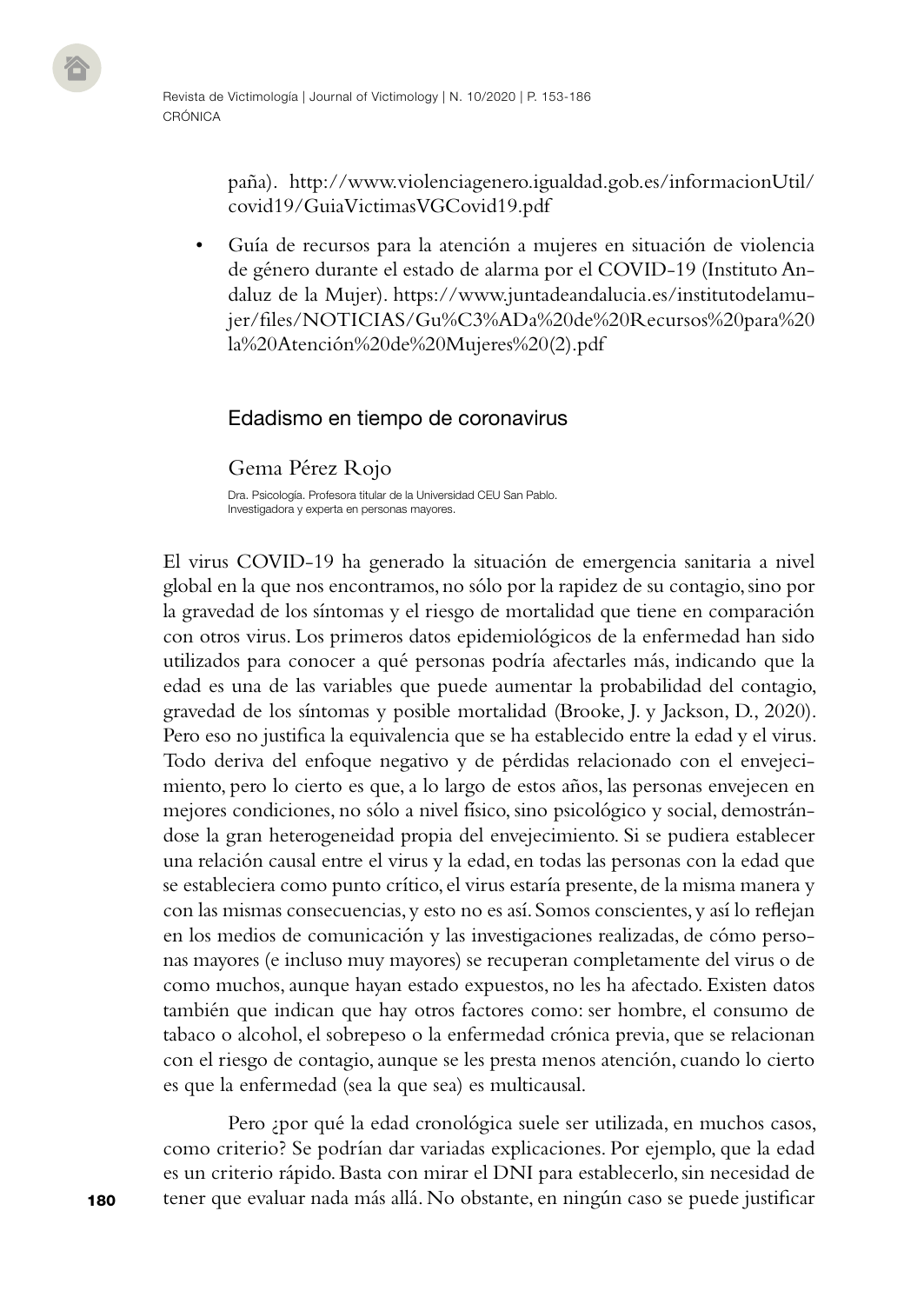paña). [http://www.violenciagenero.igualdad.gob.es/informacionUtil/](http://www.violenciagenero.igualdad.gob.es/informacionUtil/covid19/GuiaVictimasVGCovid19.pdf) [covid19/GuiaVictimasVGCovid19.pdf](http://www.violenciagenero.igualdad.gob.es/informacionUtil/covid19/GuiaVictimasVGCovid19.pdf)

• Guía de recursos para la atención a mujeres en situación de violencia de género durante el estado de alarma por el COVID-19 (Instituto Andaluz de la Mujer). [https://www.juntadeandalucia.es/institutodelamu](https://www.juntadeandalucia.es/institutodelamujer/files/NOTICIAS/Gu%C3%ADa%20de%20Recursos%20para%20la%20Atención%20de%20Mujeres%20(2).pdf)[jer/files/NOTICIAS/Gu%C3%ADa%20de%20Recursos%20para%20](https://www.juntadeandalucia.es/institutodelamujer/files/NOTICIAS/Gu%C3%ADa%20de%20Recursos%20para%20la%20Atención%20de%20Mujeres%20(2).pdf) [la%20Atención%20de%20Mujeres%20\(2\).pdf](https://www.juntadeandalucia.es/institutodelamujer/files/NOTICIAS/Gu%C3%ADa%20de%20Recursos%20para%20la%20Atención%20de%20Mujeres%20(2).pdf)

#### Edadismo en tiempo de coronavirus

Gema Pérez Rojo

Dra. Psicología. Profesora titular de la Universidad CEU San Pablo. Investigadora y experta en personas mayores.

El virus COVID-19 ha generado la situación de emergencia sanitaria a nivel global en la que nos encontramos, no sólo por la rapidez de su contagio, sino por la gravedad de los síntomas y el riesgo de mortalidad que tiene en comparación con otros virus. Los primeros datos epidemiológicos de la enfermedad han sido utilizados para conocer a qué personas podría afectarles más, indicando que la edad es una de las variables que puede aumentar la probabilidad del contagio, gravedad de los síntomas y posible mortalidad (Brooke, J. y Jackson, D., 2020). Pero eso no justifica la equivalencia que se ha establecido entre la edad y el virus. Todo deriva del enfoque negativo y de pérdidas relacionado con el envejecimiento, pero lo cierto es que, a lo largo de estos años, las personas envejecen en mejores condiciones, no sólo a nivel físico, sino psicológico y social, demostrándose la gran heterogeneidad propia del envejecimiento. Si se pudiera establecer una relación causal entre el virus y la edad, en todas las personas con la edad que se estableciera como punto crítico, el virus estaría presente, de la misma manera y con las mismas consecuencias, y esto no es así. Somos conscientes, y así lo reflejan en los medios de comunicación y las investigaciones realizadas, de cómo personas mayores (e incluso muy mayores) se recuperan completamente del virus o de como muchos, aunque hayan estado expuestos, no les ha afectado. Existen datos también que indican que hay otros factores como: ser hombre, el consumo de tabaco o alcohol, el sobrepeso o la enfermedad crónica previa, que se relacionan con el riesgo de contagio, aunque se les presta menos atención, cuando lo cierto es que la enfermedad (sea la que sea) es multicausal.

Pero ¿por qué la edad cronológica suele ser utilizada, en muchos casos, como criterio? Se podrían dar variadas explicaciones. Por ejemplo, que la edad es un criterio rápido. Basta con mirar el DNI para establecerlo, sin necesidad de tener que evaluar nada más allá. No obstante, en ningún caso se puede justificar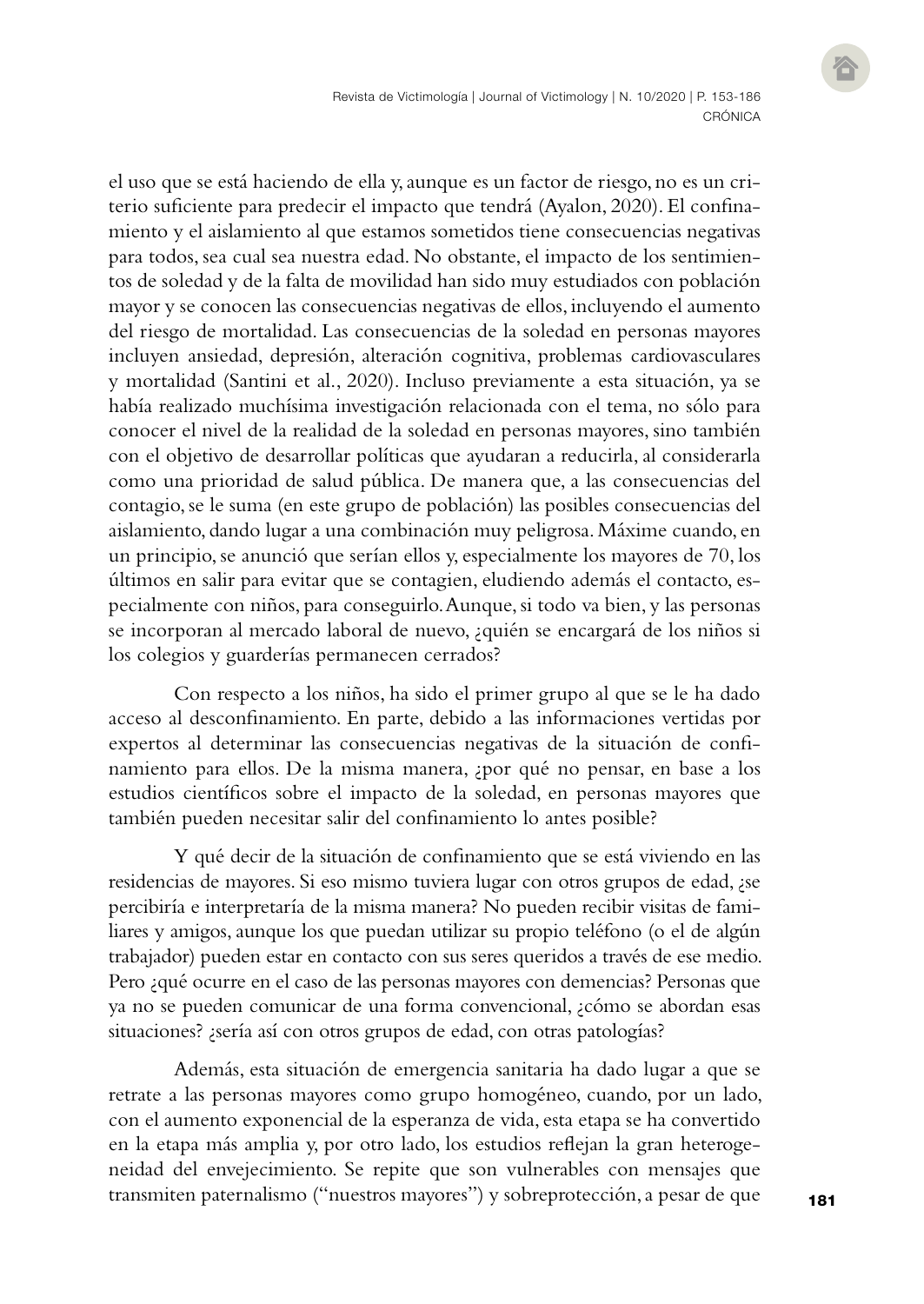el uso que se está haciendo de ella y, aunque es un factor de riesgo, no es un criterio suficiente para predecir el impacto que tendrá (Ayalon, 2020). El confinamiento y el aislamiento al que estamos sometidos tiene consecuencias negativas para todos, sea cual sea nuestra edad. No obstante, el impacto de los sentimientos de soledad y de la falta de movilidad han sido muy estudiados con población mayor y se conocen las consecuencias negativas de ellos, incluyendo el aumento del riesgo de mortalidad. Las consecuencias de la soledad en personas mayores incluyen ansiedad, depresión, alteración cognitiva, problemas cardiovasculares y mortalidad (Santini et al., 2020). Incluso previamente a esta situación, ya se había realizado muchísima investigación relacionada con el tema, no sólo para conocer el nivel de la realidad de la soledad en personas mayores, sino también con el objetivo de desarrollar políticas que ayudaran a reducirla, al considerarla como una prioridad de salud pública. De manera que, a las consecuencias del contagio, se le suma (en este grupo de población) las posibles consecuencias del aislamiento, dando lugar a una combinación muy peligrosa. Máxime cuando, en un principio, se anunció que serían ellos y, especialmente los mayores de 70, los últimos en salir para evitar que se contagien, eludiendo además el contacto, especialmente con niños, para conseguirlo. Aunque, si todo va bien, y las personas se incorporan al mercado laboral de nuevo, ¿quién se encargará de los niños si los colegios y guarderías permanecen cerrados?

Con respecto a los niños, ha sido el primer grupo al que se le ha dado acceso al desconfinamiento. En parte, debido a las informaciones vertidas por expertos al determinar las consecuencias negativas de la situación de confinamiento para ellos. De la misma manera, ¿por qué no pensar, en base a los estudios científicos sobre el impacto de la soledad, en personas mayores que también pueden necesitar salir del confinamiento lo antes posible?

Y qué decir de la situación de confinamiento que se está viviendo en las residencias de mayores. Si eso mismo tuviera lugar con otros grupos de edad, ¿se percibiría e interpretaría de la misma manera? No pueden recibir visitas de familiares y amigos, aunque los que puedan utilizar su propio teléfono (o el de algún trabajador) pueden estar en contacto con sus seres queridos a través de ese medio. Pero ¿qué ocurre en el caso de las personas mayores con demencias? Personas que ya no se pueden comunicar de una forma convencional, ¿cómo se abordan esas situaciones? ¿sería así con otros grupos de edad, con otras patologías?

Además, esta situación de emergencia sanitaria ha dado lugar a que se retrate a las personas mayores como grupo homogéneo, cuando, por un lado, con el aumento exponencial de la esperanza de vida, esta etapa se ha convertido en la etapa más amplia y, por otro lado, los estudios reflejan la gran heterogeneidad del envejecimiento. Se repite que son vulnerables con mensajes que transmiten paternalismo ("nuestros mayores") y sobreprotección, a pesar de que

181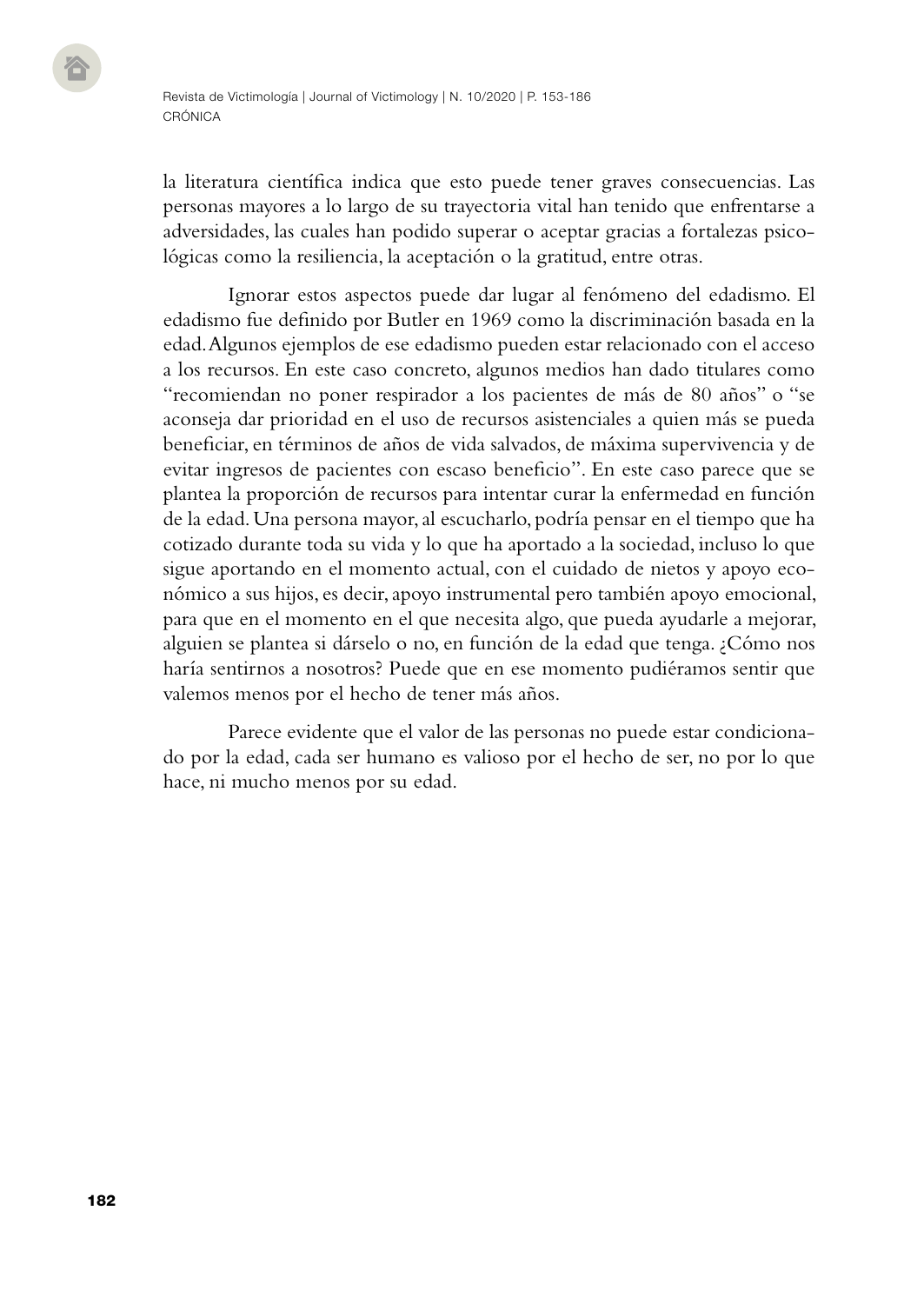la literatura científica indica que esto puede tener graves consecuencias. Las personas mayores a lo largo de su trayectoria vital han tenido que enfrentarse a adversidades, las cuales han podido superar o aceptar gracias a fortalezas psicológicas como la resiliencia, la aceptación o la gratitud, entre otras.

Ignorar estos aspectos puede dar lugar al fenómeno del edadismo. El edadismo fue definido por Butler en 1969 como la discriminación basada en la edad. Algunos ejemplos de ese edadismo pueden estar relacionado con el acceso a los recursos. En este caso concreto, algunos medios han dado titulares como "recomiendan no poner respirador a los pacientes de más de 80 años" o "se aconseja dar prioridad en el uso de recursos asistenciales a quien más se pueda beneficiar, en términos de años de vida salvados, de máxima supervivencia y de evitar ingresos de pacientes con escaso beneficio". En este caso parece que se plantea la proporción de recursos para intentar curar la enfermedad en función de la edad. Una persona mayor, al escucharlo, podría pensar en el tiempo que ha cotizado durante toda su vida y lo que ha aportado a la sociedad, incluso lo que sigue aportando en el momento actual, con el cuidado de nietos y apoyo económico a sus hijos, es decir, apoyo instrumental pero también apoyo emocional, para que en el momento en el que necesita algo, que pueda ayudarle a mejorar, alguien se plantea si dárselo o no, en función de la edad que tenga. ¿Cómo nos haría sentirnos a nosotros? Puede que en ese momento pudiéramos sentir que valemos menos por el hecho de tener más años.

Parece evidente que el valor de las personas no puede estar condicionado por la edad, cada ser humano es valioso por el hecho de ser, no por lo que hace, ni mucho menos por su edad.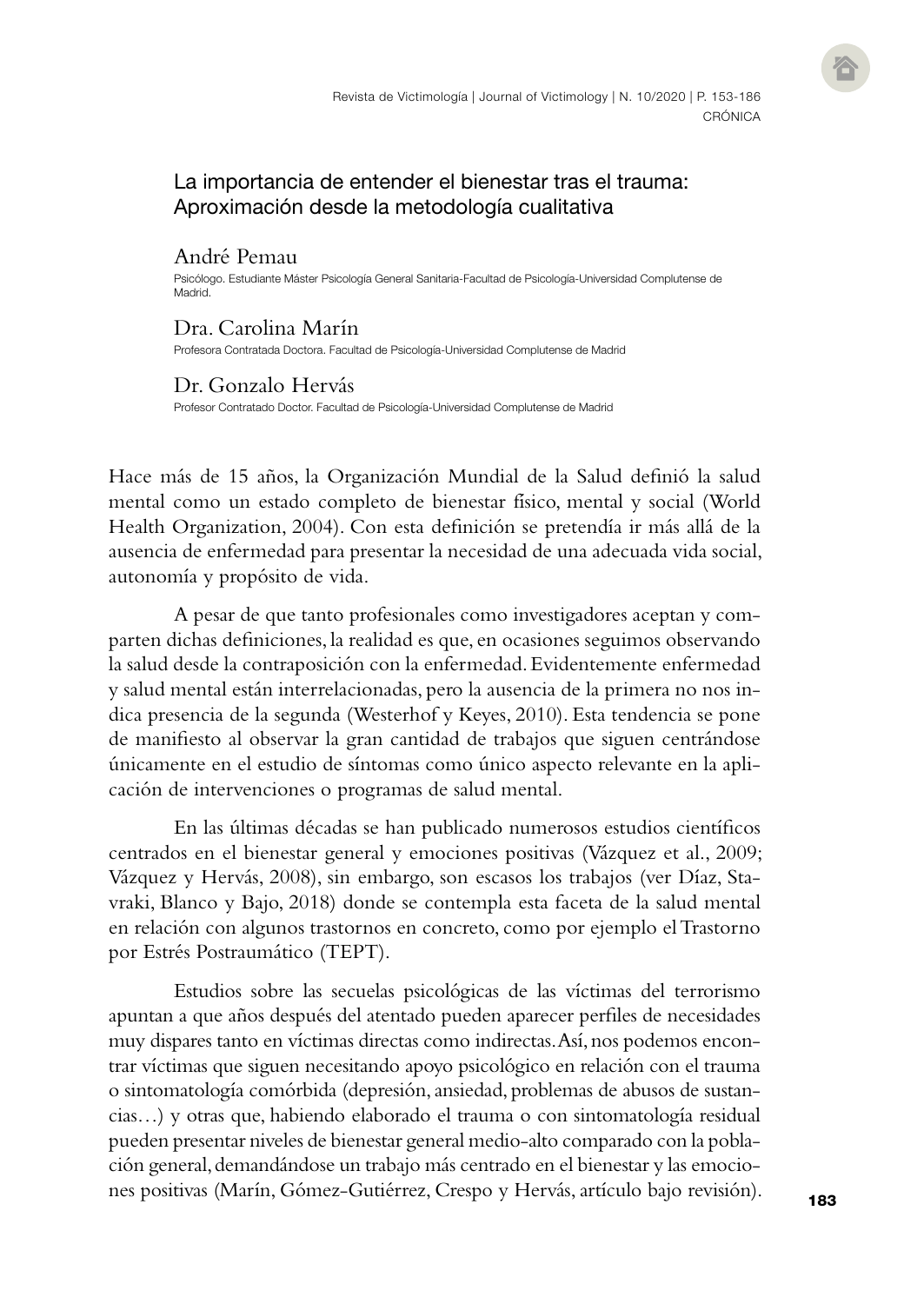## La importancia de entender el bienestar tras el trauma: Aproximación desde la metodología cualitativa

### André Pemau

Psicólogo. Estudiante Máster Psicología General Sanitaria-Facultad de Psicología-Universidad Complutense de **Madrid** 

#### Dra. Carolina Marín

Profesora Contratada Doctora. Facultad de Psicología-Universidad Complutense de Madrid

#### Dr. Gonzalo Hervás

Profesor Contratado Doctor. Facultad de Psicología-Universidad Complutense de Madrid

Hace más de 15 años, la Organización Mundial de la Salud definió la salud mental como un estado completo de bienestar físico, mental y social (World Health Organization, 2004). Con esta definición se pretendía ir más allá de la ausencia de enfermedad para presentar la necesidad de una adecuada vida social, autonomía y propósito de vida.

A pesar de que tanto profesionales como investigadores aceptan y comparten dichas definiciones, la realidad es que, en ocasiones seguimos observando la salud desde la contraposición con la enfermedad. Evidentemente enfermedad y salud mental están interrelacionadas, pero la ausencia de la primera no nos indica presencia de la segunda (Westerhof y Keyes, 2010). Esta tendencia se pone de manifiesto al observar la gran cantidad de trabajos que siguen centrándose únicamente en el estudio de síntomas como único aspecto relevante en la aplicación de intervenciones o programas de salud mental.

En las últimas décadas se han publicado numerosos estudios científicos centrados en el bienestar general y emociones positivas (Vázquez et al., 2009; Vázquez y Hervás, 2008), sin embargo, son escasos los trabajos (ver Díaz, Stavraki, Blanco y Bajo, 2018) donde se contempla esta faceta de la salud mental en relación con algunos trastornos en concreto, como por ejemplo el Trastorno por Estrés Postraumático (TEPT).

Estudios sobre las secuelas psicológicas de las víctimas del terrorismo apuntan a que años después del atentado pueden aparecer perfiles de necesidades muy dispares tanto en víctimas directas como indirectas. Así, nos podemos encontrar víctimas que siguen necesitando apoyo psicológico en relación con el trauma o sintomatología comórbida (depresión, ansiedad, problemas de abusos de sustancias…) y otras que, habiendo elaborado el trauma o con sintomatología residual pueden presentar niveles de bienestar general medio-alto comparado con la población general, demandándose un trabajo más centrado en el bienestar y las emociones positivas (Marín, Gómez-Gutiérrez, Crespo y Hervás, artículo bajo revisión).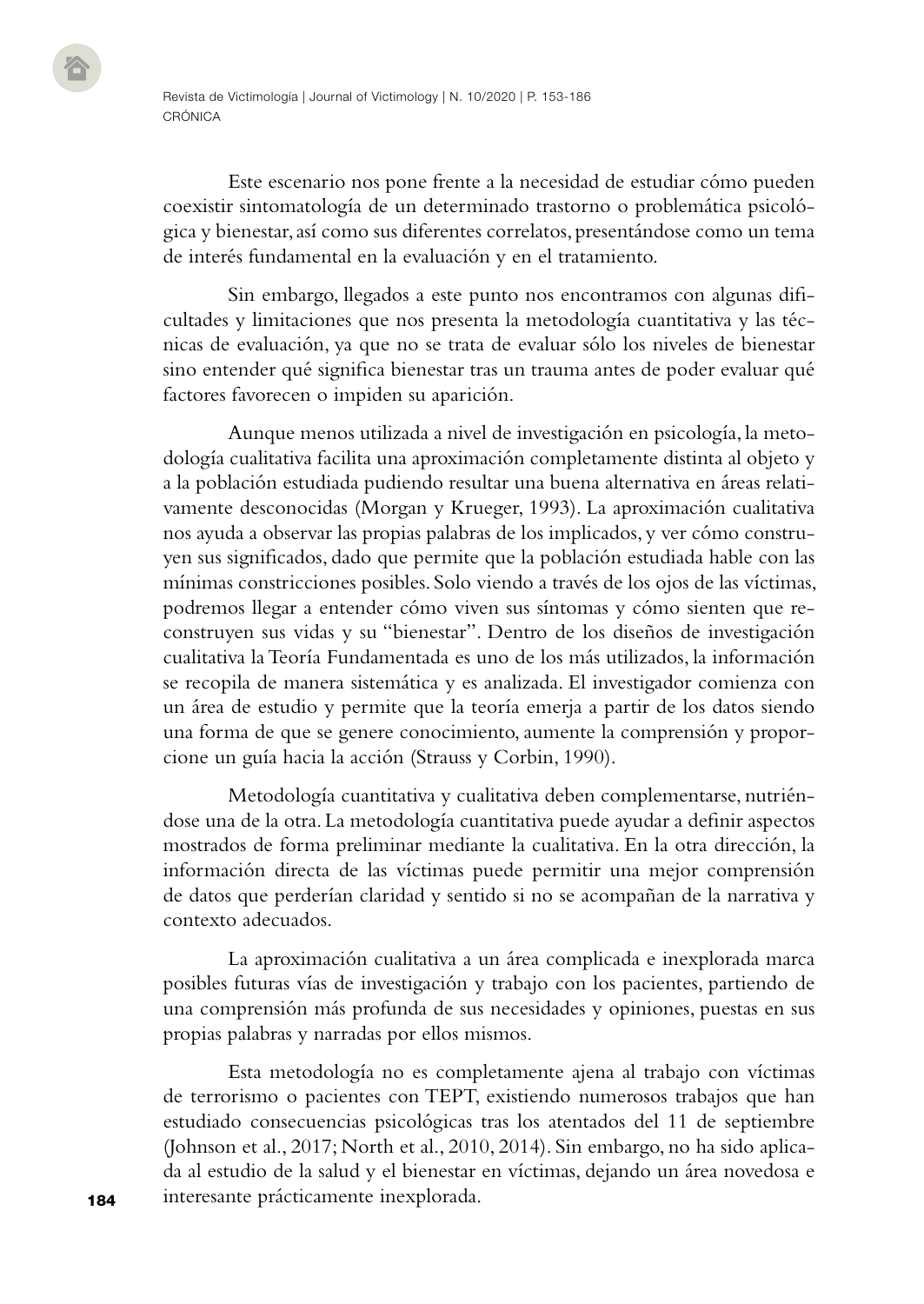Este escenario nos pone frente a la necesidad de estudiar cómo pueden coexistir sintomatología de un determinado trastorno o problemática psicológica y bienestar, así como sus diferentes correlatos, presentándose como un tema de interés fundamental en la evaluación y en el tratamiento.

Sin embargo, llegados a este punto nos encontramos con algunas dificultades y limitaciones que nos presenta la metodología cuantitativa y las técnicas de evaluación, ya que no se trata de evaluar sólo los niveles de bienestar sino entender qué significa bienestar tras un trauma antes de poder evaluar qué factores favorecen o impiden su aparición.

Aunque menos utilizada a nivel de investigación en psicología, la metodología cualitativa facilita una aproximación completamente distinta al objeto y a la población estudiada pudiendo resultar una buena alternativa en áreas relativamente desconocidas (Morgan y Krueger, 1993). La aproximación cualitativa nos ayuda a observar las propias palabras de los implicados, y ver cómo construyen sus significados, dado que permite que la población estudiada hable con las mínimas constricciones posibles. Solo viendo a través de los ojos de las víctimas, podremos llegar a entender cómo viven sus síntomas y cómo sienten que reconstruyen sus vidas y su "bienestar". Dentro de los diseños de investigación cualitativa la Teoría Fundamentada es uno de los más utilizados, la información se recopila de manera sistemática y es analizada. El investigador comienza con un área de estudio y permite que la teoría emerja a partir de los datos siendo una forma de que se genere conocimiento, aumente la comprensión y proporcione un guía hacia la acción (Strauss y Corbin, 1990).

Metodología cuantitativa y cualitativa deben complementarse, nutriéndose una de la otra. La metodología cuantitativa puede ayudar a definir aspectos mostrados de forma preliminar mediante la cualitativa. En la otra dirección, la información directa de las víctimas puede permitir una mejor comprensión de datos que perderían claridad y sentido si no se acompañan de la narrativa y contexto adecuados.

La aproximación cualitativa a un área complicada e inexplorada marca posibles futuras vías de investigación y trabajo con los pacientes, partiendo de una comprensión más profunda de sus necesidades y opiniones, puestas en sus propias palabras y narradas por ellos mismos.

Esta metodología no es completamente ajena al trabajo con víctimas de terrorismo o pacientes con TEPT, existiendo numerosos trabajos que han estudiado consecuencias psicológicas tras los atentados del 11 de septiembre (Johnson et al., 2017; North et al., 2010, 2014). Sin embargo, no ha sido aplicada al estudio de la salud y el bienestar en víctimas, dejando un área novedosa e interesante prácticamente inexplorada.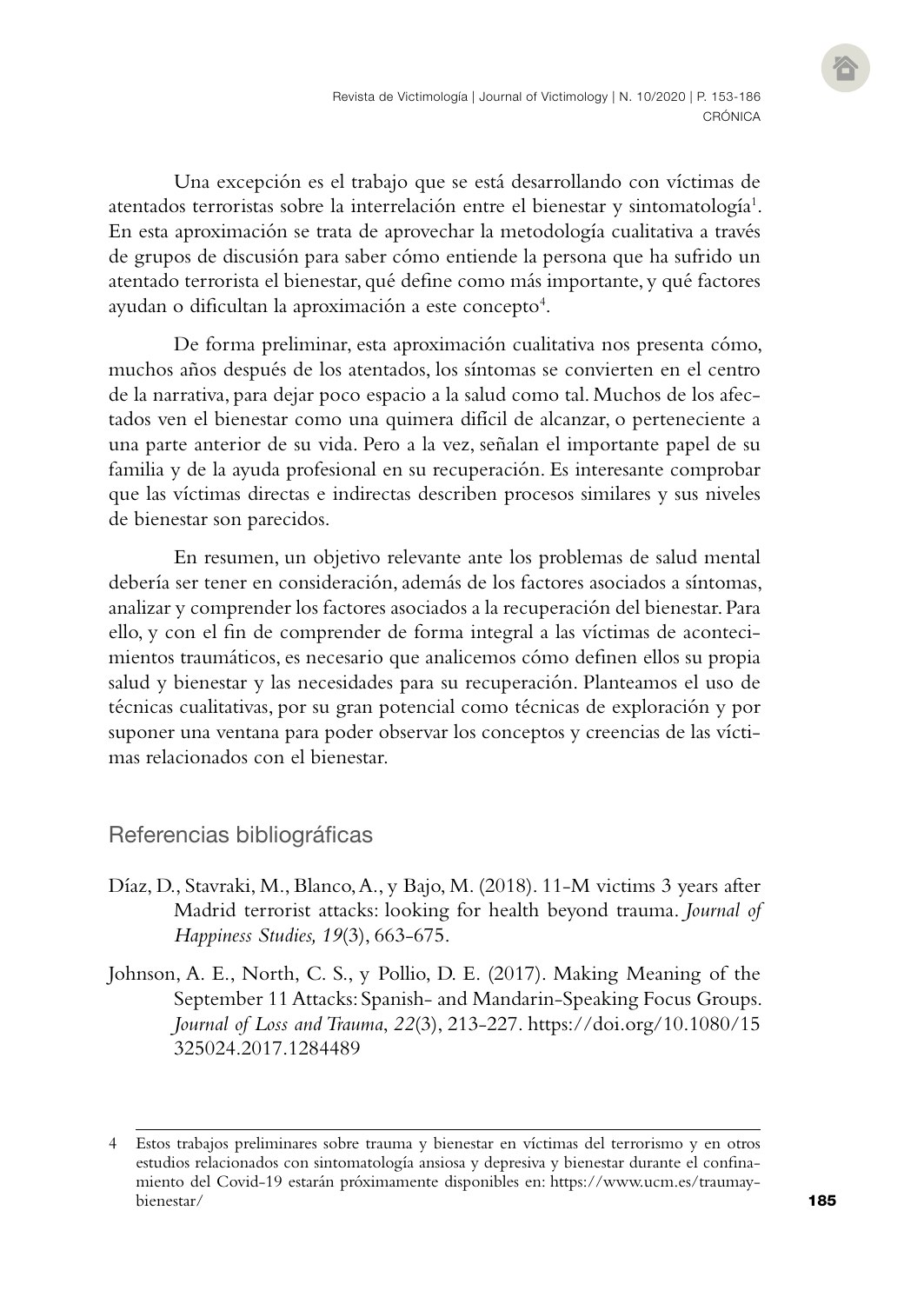Una excepción es el trabajo que se está desarrollando con víctimas de atentados terroristas sobre la interrelación entre el bienestar y sintomatología<sup>1</sup>. En esta aproximación se trata de aprovechar la metodología cualitativa a través de grupos de discusión para saber cómo entiende la persona que ha sufrido un atentado terrorista el bienestar, qué define como más importante, y qué factores ayudan o dificultan la aproximación a este concepto $^{\rm 4}.$ 

De forma preliminar, esta aproximación cualitativa nos presenta cómo, muchos años después de los atentados, los síntomas se convierten en el centro de la narrativa, para dejar poco espacio a la salud como tal. Muchos de los afectados ven el bienestar como una quimera difícil de alcanzar, o perteneciente a una parte anterior de su vida. Pero a la vez, señalan el importante papel de su familia y de la ayuda profesional en su recuperación. Es interesante comprobar que las víctimas directas e indirectas describen procesos similares y sus niveles de bienestar son parecidos.

En resumen, un objetivo relevante ante los problemas de salud mental debería ser tener en consideración, además de los factores asociados a síntomas, analizar y comprender los factores asociados a la recuperación del bienestar. Para ello, y con el fin de comprender de forma integral a las víctimas de acontecimientos traumáticos, es necesario que analicemos cómo definen ellos su propia salud y bienestar y las necesidades para su recuperación. Planteamos el uso de técnicas cualitativas, por su gran potencial como técnicas de exploración y por suponer una ventana para poder observar los conceptos y creencias de las víctimas relacionados con el bienestar.

## Referencias bibliográficas

- Díaz, D., Stavraki, M., Blanco, A., y Bajo, M. (2018). 11-M victims 3 years after Madrid terrorist attacks: looking for health beyond trauma. *Journal of Happiness Studies, 19*(3), 663-675.
- Johnson, A. E., North, C. S., y Pollio, D. E. (2017). Making Meaning of the September 11 Attacks: Spanish- and Mandarin-Speaking Focus Groups. *Journal of Loss and Trauma*, *22*(3), 213-227. [https://doi.org/10.1080/15](https://doi.org/10.1080/15325024.2017.1284489) [325024.2017.1284489](https://doi.org/10.1080/15325024.2017.1284489)

<sup>4</sup> Estos trabajos preliminares sobre trauma y bienestar en víctimas del terrorismo y en otros estudios relacionados con sintomatología ansiosa y depresiva y bienestar durante el confinamiento del Covid-19 estarán próximamente disponibles en: [https://www.ucm.es/traumay](about:blank)[bienestar/](about:blank)